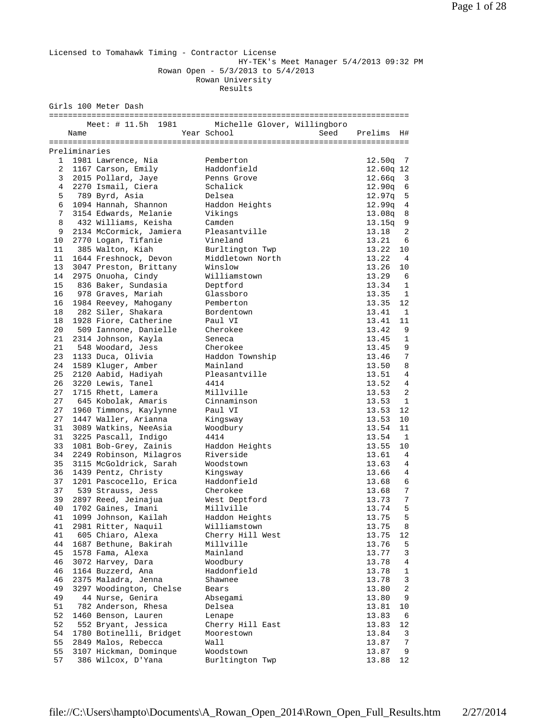Licensed to Tomahawk Timing - Contractor License HY-TEK's Meet Manager 5/4/2013 09:32 PM Rowan Open - 5/3/2013 to 5/4/2013 Rowan University Results Girls 100 Meter Dash ============================================================================ Meet: # 11.5h 1981 Michelle Glover, Willingboro<br>Name Mear School Seed Prelims H# Name Year School Seed Prelims H# ============================================================================ Preliminaries 1 1981 Lawrence, Nia Pemberton 12.50q 7 2 1167 Carson, Emily Haddonfield 12.60q 12 3 2015 Pollard, Jaye Penns Grove 12.66q 3 4 2270 Ismail, Ciera Schalick 12.90q 6 5 789 Byrd, Asia Delsea 12.97q 5 6 1094 Hannah, Shannon Haddon Heights 12.99q 4 7 3154 Edwards, Melanie Vikings 13.08q 8 8 432 Williams, Keisha Camden 13.15q 9 9 2134 McCormick, Jamiera Pleasantville 13.18 2 10 2770 Logan, Tifanie Vineland 13.21 6 11 385 Walton, Kiah Burltington Twp 13.22 10 11 1644 Freshnock, Devon Middletown North 13.22 4 13 3047 Preston, Brittany Winslow 13.26 10 14 2975 Onuoha, Cindy Williamstown 13.29 6 15 836 Baker, Sundasia Deptford 13.34 1 16 978 Graves, Mariah Glassboro 13.35 1 16 1984 Reevey, Mahogany Pemberton 13.35 12 18 282 Siler, Shakara Bordentown 13.41 1 18 1928 Fiore, Catherine Paul VI 13.41 11 20 509 Iannone, Danielle Cherokee 13.42 9 21 2314 Johnson, Kayla Seneca 13.45 1 21 548 Woodard, Jess Cherokee 13.45 9 23 1133 Duca, Olivia Haddon Township 13.46 7 24 1589 Kluger, Amber Mainland 13.50 8 25 2120 Aabid, Hadiyah Pleasantville 13.51 4 26 3220 Lewis, Tanel 4414 13.52 4 27 1715 Rhett, Lamera Millville 13.53 2 27 645 Kobolak, Amaris Cinnaminson 13.53 1 27 1960 Timmons, Kaylynne Paul VI 13.53 12 27 1447 Waller, Arianna Kingsway 13.53 10 31 3089 Watkins, NeeAsia Woodbury 13.54 11 31 3225 Pascall, Indigo 4414 13.54 1 33 1081 Bob-Grey, Zainis Haddon Heights 13.55 10 34 2249 Robinson, Milagros Riverside 13.61 4 35 3115 McGoldrick, Sarah Woodstown 13.63 4 36 1439 Pentz, Christy Kingsway 13.66 4 37 1201 Pascocello, Erica Haddonfield 13.68 6 37 539 Strauss, Jess Cherokee 13.68 7 39 2897 Reed, Jeinajua West Deptford 13.73 7 40 1702 Gaines, Imani Millville 13.74 5 41 1099 Johnson, Kailah Haddon Heights 13.75 5 41 2981 Ritter, Naquil Williamstown 13.75 8 41 605 Chiaro, Alexa Cherry Hill West 13.75 12 44 1687 Bethune, Bakirah Millville 13.76 5 45 1578 Fama, Alexa Mainland 13.77 3 46 3072 Harvey, Dara Woodbury 13.78 4 46 1164 Buzzerd, Ana Haddonfield 13.78 1 46 2375 Maladra, Jenna Shawnee 13.78 3 49 3297 Woodington, Chelse Bears 13.80 2 49 44 Nurse, Genira Absegami 13.80 9 51 782 Anderson, Rhesa Delsea 13.81 10 52 1460 Benson, Lauren Lenape 13.83 6 52 552 Bryant, Jessica Cherry Hill East 13.83 12 54 1780 Botinelli, Bridget Moorestown 13.84 3 55 2849 Malos, Rebecca Wall 13.87 7 55 3107 Hickman, Dominque Woodstown 13.87 9 57 386 Wilcox, D'Yana Burltington Twp 13.88 12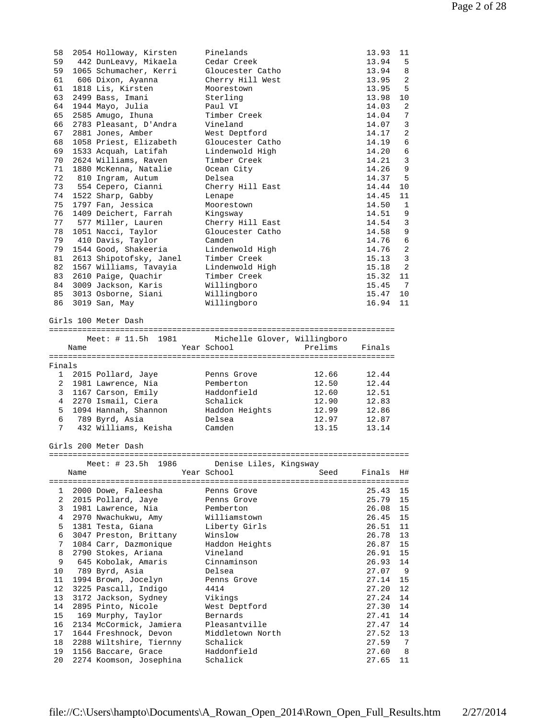| 58 | 2054 Holloway, Kirsten  | Pinelands        | 13.93 | 11             |
|----|-------------------------|------------------|-------|----------------|
| 59 | 442 DunLeavy, Mikaela   | Cedar Creek      | 13.94 | 5              |
| 59 | 1065 Schumacher, Kerri  | Gloucester Catho | 13.94 | 8              |
| 61 | 606 Dixon, Ayanna       | Cherry Hill West | 13.95 | 2              |
| 61 | 1818 Lis, Kirsten       | Moorestown       | 13.95 | 5              |
| 63 | 2499 Bass, Imani        | Sterling         | 13.98 | 10             |
| 64 | 1944 Mayo, Julia        | Paul VI          | 14.03 | 2              |
| 65 | 2585 Amugo, Ihuna       | Timber Creek     | 14.04 | 7              |
| 66 | 2783 Pleasant, D'Andra  | Vineland         | 14.07 | $\overline{3}$ |
| 67 | 2881 Jones, Amber       | West Deptford    | 14.17 | 2              |
| 68 | 1058 Priest, Elizabeth  | Gloucester Catho | 14.19 | 6              |
| 69 | 1533 Acquah, Latifah    | Lindenwold High  | 14.20 | 6              |
| 70 | 2624 Williams, Raven    | Timber Creek     | 14.21 | $\overline{3}$ |
| 71 | 1880 McKenna, Natalie   | Ocean City       | 14.26 | 9              |
| 72 | 810 Ingram, Autum       | Delsea           | 14.37 | 5              |
| 73 | 554 Cepero, Cianni      | Cherry Hill East | 14.44 | 10             |
| 74 | 1522 Sharp, Gabby       | Lenape           | 14.45 | 11             |
| 75 | 1797 Fan, Jessica       | Moorestown       | 14.50 | 1              |
| 76 | 1409 Deichert, Farrah   | Kingsway         | 14.51 | 9              |
| 77 | 577 Miller, Lauren      | Cherry Hill East | 14.54 | 3              |
| 78 | 1051 Nacci, Taylor      | Gloucester Catho | 14.58 | 9              |
| 79 | 410 Davis, Taylor       | Camden           | 14.76 | 6              |
| 79 | 1544 Good, Shakeeria    | Lindenwold High  | 14.76 | 2              |
| 81 | 2613 Shipotofsky, Janel | Timber Creek     | 15.13 | $\overline{3}$ |
| 82 | 1567 Williams, Tavayia  | Lindenwold High  | 15.18 | 2              |
| 83 | 2610 Paige, Quachir     | Timber Creek     | 15.32 | 11             |
| 84 | 3009 Jackson, Karis     | Willingboro      | 15.45 | 7              |
| 85 | 3013 Osborne, Siani     | Willingboro      | 15.47 | 10             |
| 86 | 3019 San, May           | Willingboro      | 16.94 | 11             |
|    |                         |                  |       |                |

Girls 100 Meter Dash

========================================================================= Meet: # 11.5h 1981 Michelle Glover, Willingboro

|        | Name |                        | Year School    | Prelims | Finals |
|--------|------|------------------------|----------------|---------|--------|
|        |      |                        |                |         |        |
| Finals |      |                        |                |         |        |
|        |      | 1 2015 Pollard, Jaye   | Penns Grove    | 12.66   | 12.44  |
|        |      | 2 1981 Lawrence, Nia   | Pemberton      | 12.50   | 12.44  |
|        |      | 3 1167 Carson, Emily   | Haddonfield    | 12.60   | 12.51  |
|        |      | 4 2270 Ismail, Ciera   | Schalick       | 12.90   | 12.83  |
|        |      | 5 1094 Hannah, Shannon | Haddon Heights | 12.99   | 12.86  |
| 6      |      | 789 Byrd, Asia         | Delsea         | 12.97   | 12.87  |
| 7      |      | 432 Williams, Keisha   | Camden         | 13.15   | 13.14  |

Girls 200 Meter Dash

============================================================================ Meet: # 23.5h 1986 Denise Liles, Kingsway

|                 | Name | $11C$ $C$ $C$ $T$ $B$ $D$ $I$ $I$ $I$ $J$ $J$ $J$ $J$ | pening nilog, kingdway<br>Year School and the School | Seed | Finals H# |    |
|-----------------|------|-------------------------------------------------------|------------------------------------------------------|------|-----------|----|
|                 |      | 1 2000 Dowe, Faleesha                                 | Penns Grove                                          |      | 25.43     | 15 |
| 2               |      | 2015 Pollard, Jaye                                    | Penns Grove                                          |      | 25.79     | 15 |
| 3               |      | 1981 Lawrence, Nia                                    | Pemberton                                            |      | 26.08     | 15 |
| $\overline{4}$  |      | 2970 Nwachukwu, Amy                                   | Williamstown                                         |      | 26.45     | 15 |
| 5               |      | 1381 Testa, Giana           Liberty Girls             |                                                      |      | 26.51     | 11 |
| 6               |      | 3047 Preston, Brittany                                | Winslow                                              |      | 26.78     | 13 |
| 7               |      | 1084 Carr, Dazmonique                                 | Haddon Heights                                       |      | 26.87     | 15 |
| 8               |      | 2790 Stokes, Ariana                                   | Vineland                                             |      | 26.91 15  |    |
| 9               |      | 645 Kobolak, Amaris                                   | Cinnaminson                                          |      | 26.93 14  |    |
| $10 \,$         |      | 789 Byrd, Asia                                        | Delsea                                               |      | 27.07 9   |    |
| 11              |      | 1994 Brown, Jocelyn                                   | Penns Grove                                          |      | 27.14 15  |    |
| 12 <sup>°</sup> |      | 3225 Pascall, Indigo                                  | 4414                                                 |      | 27.20     | 12 |
| 13              |      | 3172 Jackson, Sydney                                  | Vikings                                              |      | 27.24     | 14 |
| 14              |      | 2895 Pinto, Nicole                                    | West Deptford                                        |      | 27.30     | 14 |
| 15              |      | 169 Murphy, Taylor                                    | Bernards                                             |      | 27.41     | 14 |
| 16              |      | 2134 McCormick, Jamiera    Pleasantville              |                                                      |      | 27.47     | 14 |
| 17              |      | 1644 Freshnock, Devon                                 | Middletown North                                     |      | 27.52 13  |    |
| 18              |      | 2288 Wiltshire, Tiernny                               | Schalick                                             |      | 27.59 7   |    |
| 19              |      | 1156 Baccare, Grace Baddonfield                       |                                                      |      | 27.60 8   |    |
| 20              |      | 2274 Koomson, Josephina                               | Schalick                                             |      | 27.65     | 11 |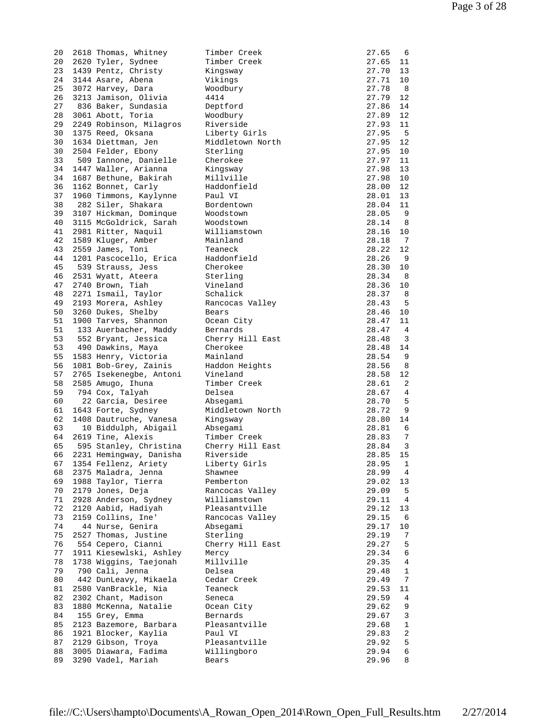| 20       | 2618 Thomas, Whitney                       | Timber Creek         | 27.65<br>-6              |
|----------|--------------------------------------------|----------------------|--------------------------|
| 20       | 2620 Tyler, Sydnee                         | Timber Creek         | 27.65<br>11              |
| 23       | 1439 Pentz, Christy                        | Kingsway             | 27.70<br>13              |
|          |                                            |                      |                          |
| 24       | 3144 Asare, Abena                          | Vikings              | 27.71<br>10              |
| 25       | 3072 Harvey, Dara                          | Woodbury             | 27.78<br>-8              |
| 26       | 3213 Jamison, Olivia                       | 4414                 | 27.79<br>12              |
|          |                                            |                      |                          |
| 27       | 836 Baker, Sundasia                        | Deptford             | 27.86<br>14              |
| 28       | 3061 Abott, Toria                          | Woodbury             | 12<br>27.89              |
| 29       | 2249 Robinson, Milagros                    | Riverside            | 27.93<br>11              |
| 30       | 1375 Reed, Oksana                          |                      | -5<br>27.95              |
|          |                                            | Liberty Girls        |                          |
| 30       | 1634 Diettman, Jen                         | Middletown North     | 12<br>27.95              |
| 30       | 2504 Felder, Ebony                         | Sterling             | 27.95<br>10              |
| 33       | 509 Iannone, Danielle                      | Cherokee             | 11<br>27.97              |
|          |                                            |                      |                          |
| 34       | 1447 Waller, Arianna                       | Kingsway             | 13<br>27.98              |
| 34       | 1687 Bethune, Bakirah                      | Millville            | 10<br>27.98              |
| 36       | 1162 Bonnet, Carly                         | Haddonfield          | 28.00<br>12              |
| 37       | 1960 Timmons, Kaylynne                     | Paul VI              | 28.01<br>13              |
|          |                                            |                      |                          |
| 38       | 282 Siler, Shakara                         | Bordentown           | 28.04<br>11              |
| 39       | 3107 Hickman, Dominque                     | Woodstown            | 9<br>28.05               |
| 40       | 3115 McGoldrick, Sarah                     | Woodstown            | 28.14<br>8               |
| 41       | 2981 Ritter, Naquil                        | Williamstown         | 28.16<br>10              |
|          |                                            |                      |                          |
| 42       | 1589 Kluger, Amber                         | Mainland             | 28.18<br>-7              |
| 43       | 2559 James, Toni                           | Teaneck              | 28.22<br>12              |
| 44       | 1201 Pascocello, Erica                     | Haddonfield          | 28.26<br>9               |
|          |                                            |                      |                          |
| 45       | 539 Strauss, Jess                          | Cherokee             | 28.30<br>10              |
| 46       | 2531 Wyatt, Ateera                         | Sterling             | 28.34<br>8               |
| 47       | 2740 Brown, Tiah                           | Vineland             | 28.36<br>10              |
| 48       | 2271 Ismail, Taylor                        | Schalick             | 28.37<br>8               |
|          |                                            |                      |                          |
| 49       | 2193 Morera, Ashley                        | Rancocas Valley      | 28.43<br>5               |
| 50       | 3260 Dukes, Shelby                         | Bears                | 28.46<br>10              |
| 51       | 1900 Tarves, Shannon                       | Ocean City           | 28.47<br>11              |
| 51       | 133 Auerbacher, Maddy                      | Bernards             | 28.47<br>$\overline{4}$  |
|          |                                            |                      |                          |
| 53       | 552 Bryant, Jessica                        | Cherry Hill East     | 28.48<br>3               |
| 53       | 490 Dawkins, Maya                          | Cherokee             | 28.48<br>14              |
| 55       | 1583 Henry, Victoria                       | Mainland             | 9<br>28.54               |
| 56       |                                            | Haddon Heights       | 8                        |
|          | 1081 Bob-Grey, Zainis                      |                      | 28.56                    |
| 57       | 2765 Isekenegbe, Antoni                    | Vineland             | 28.58<br>12              |
| 58       | 2585 Amugo, Ihuna                          | Timber Creek         | 2<br>28.61               |
| 59       | 794 Cox, Talyah                            | Delsea               | 4<br>28.67               |
|          | 22 Garcia, Desiree                         |                      | 5                        |
| 60       |                                            | Absegami             | 28.70                    |
| 61       | 1643 Forte, Sydney                         | Middletown North     | 28.72<br>9               |
| 62       | 1408 Dautruche, Vanesa                     | Kingsway             | 28.80<br>14              |
| 63       | 10 Biddulph, Abigail                       | Absegami             | 28.81<br>6               |
| 64       | 2619 Tine, Alexis                          | Timber Creek         | 28.83<br>7               |
|          |                                            |                      |                          |
| 65       | 595 Stanley, Christina                     | Cherry Hill East     | 3<br>28.84               |
| 66       | 2231 Hemingway, Danisha                    | Riverside            | 28.85<br>15              |
| 67       | 1354 Fellenz, Ariety                       | Liberty Girls        | 28.95<br>1               |
|          |                                            | Shawnee              | 4                        |
| 68       | 2375 Maladra, Jenna                        |                      | 28.99                    |
| 69       | 1988 Taylor, Tierra                        | Pemberton            | 29.02<br>13              |
| 70       | 2179 Jones, Deja                           | Rancocas Valley      | 29.09<br>5               |
| 71       | 2928 Anderson, Sydney                      | Williamstown         | 29.11<br>4               |
|          |                                            |                      |                          |
| 72       |                                            |                      |                          |
| 73       | 2120 Aabid, Hadiyah                        | Pleasantville        | 29.12<br>13              |
|          | 2159 Collins, Ine'                         | Rancocas Valley      | 29.15<br>6               |
| 74       | 44 Nurse, Genira                           | Absegami             | 29.17<br>10              |
|          |                                            |                      |                          |
| 75       | 2527 Thomas, Justine                       | Sterling             | 29.19<br>7               |
| 76       | 554 Cepero, Cianni                         | Cherry Hill East     | 5<br>29.27               |
| 77       | 1911 Kiesewlski, Ashley                    | Mercy                | 29.34<br>6               |
| 78       | 1738 Wiggins, Taejonah                     | Millville            | 29.35<br>4               |
|          |                                            |                      |                          |
| 79       | 790 Cali, Jenna                            | Delsea               | $\mathbf 1$<br>29.48     |
| 80       | 442 DunLeavy, Mikaela                      | Cedar Creek          | 29.49<br>7               |
| 81       | 2580 VanBrackle, Nia                       | Teaneck              | 29.53<br>11              |
| 82       | 2302 Chant, Madison                        | Seneca               | 29.59<br>4               |
|          |                                            |                      |                          |
| 83       | 1880 McKenna, Natalie                      | Ocean City           | 29.62<br>9               |
| 84       | 155 Grey, Emma                             | Bernards             | 3<br>29.67               |
| 85       | 2123 Bazemore, Barbara                     | Pleasantville        | 29.68<br>1               |
| 86       | 1921 Blocker, Kaylia                       | Paul VI              | 2<br>29.83               |
|          |                                            |                      |                          |
| 87       | 2129 Gibson, Troya                         | Pleasantville        | 5<br>29.92               |
| 88<br>89 | 3005 Diawara, Fadima<br>3290 Vadel, Mariah | Willingboro<br>Bears | 6<br>29.94<br>29.96<br>8 |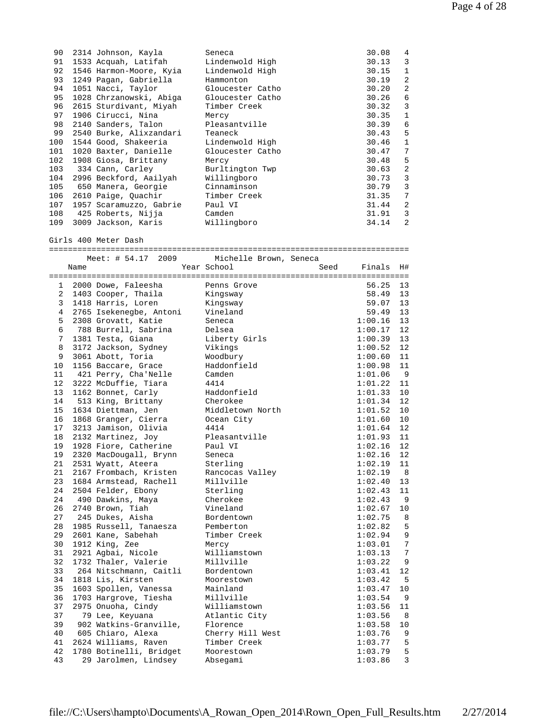| 90<br>91<br>92<br>93 |      | 2314 Johnson, Kayla<br>1533 Acquah, Latifah<br>1546 Harmon-Moore, Kyia<br>1249 Pagan, Gabriella | Seneca<br>Lindenwold High<br>Lindenwold High<br>Hammonton |      | 30.08<br>30.13<br>30.15<br>30.19 | 4<br>3<br>$\mathbf{1}$<br>$\overline{2}$ |
|----------------------|------|-------------------------------------------------------------------------------------------------|-----------------------------------------------------------|------|----------------------------------|------------------------------------------|
| 94                   |      | 1051 Nacci, Taylor                                                                              | Gloucester Catho                                          |      | 30.20                            | 2                                        |
| 95                   |      | 1028 Chrzanowski, Abiga                                                                         | Gloucester Catho                                          |      | 30.26                            | 6                                        |
| 96                   |      | 2615 Sturdivant, Miyah                                                                          | Timber Creek                                              |      | 30.32                            | 3                                        |
| 97                   |      | 1906 Cirucci, Nina                                                                              | Mercy                                                     |      | 30.35                            | 1                                        |
| 98                   |      | 2140 Sanders, Talon                                                                             | Pleasantville                                             |      | 30.39                            | 6                                        |
| 99<br>100            |      | 2540 Burke, Alixzandari<br>1544 Good, Shakeeria                                                 | Teaneck<br>Lindenwold High                                |      | 30.43<br>30.46                   | 5<br>$\mathbf{1}$                        |
| 101                  |      | 1020 Baxter, Danielle                                                                           | Gloucester Catho                                          |      | 30.47                            | 7                                        |
| 102                  |      | 1908 Giosa, Brittany                                                                            | Mercy                                                     |      | 30.48                            | 5                                        |
| 103                  |      | 334 Cann, Carley                                                                                | Burltington Twp                                           |      | 30.63                            | $\overline{2}$                           |
| 104                  |      | 2996 Beckford, Aailyah                                                                          | Willingboro                                               |      | 30.73                            | 3                                        |
| 105                  |      | 650 Manera, Georgie                                                                             | Cinnaminson                                               |      | 30.79                            | 3                                        |
| 106                  |      | 2610 Paige, Quachir                                                                             | Timber Creek                                              |      | 31.35                            | 7                                        |
| 107                  |      | 1957 Scaramuzzo, Gabrie                                                                         | Paul VI                                                   |      | 31.44                            | $\overline{2}$                           |
| 108                  |      | 425 Roberts, Nijja                                                                              | Camden                                                    |      | 31.91                            | 3                                        |
| 109                  |      | 3009 Jackson, Karis                                                                             | Willingboro                                               |      | 34.14                            | $\overline{a}$                           |
|                      |      | Girls 400 Meter Dash                                                                            |                                                           |      |                                  |                                          |
|                      |      | Meet: # 54.17 2009                                                                              | Michelle Brown, Seneca                                    |      |                                  |                                          |
|                      | Name |                                                                                                 | Year School                                               | Seed | Finals                           | H#                                       |
| $\mathbf{1}$         |      | 2000 Dowe, Faleesha                                                                             | Penns Grove                                               |      | 56.25                            | 13                                       |
| $\overline{2}$       |      | 1403 Cooper, Thaila                                                                             | Kingsway                                                  |      | 58.49                            | 13                                       |
| 3                    |      | 1418 Harris, Loren                                                                              | Kingsway                                                  |      | 59.07                            | 13                                       |
| $\overline{4}$       |      | 2765 Isekenegbe, Antoni                                                                         | Vineland                                                  |      | 59.49                            | 13                                       |
| 5                    |      | 2308 Grovatt, Katie                                                                             | Seneca                                                    |      | 1:00.16                          | 13                                       |
| 6                    |      | 788 Burrell, Sabrina                                                                            | Delsea                                                    |      | 1:00.17                          | 12                                       |
| 7                    |      | 1381 Testa, Giana                                                                               | Liberty Girls                                             |      | 1:00.39                          | 13                                       |
| 8                    |      | 3172 Jackson, Sydney                                                                            | Vikings                                                   |      | 1:00.52                          | 12                                       |
| 9                    |      | 3061 Abott, Toria                                                                               | Woodbury                                                  |      | 1:00.60                          | 11                                       |
| 10<br>11             |      | 1156 Baccare, Grace                                                                             | Haddonfield                                               |      | 1:00.98                          | 11<br>- 9                                |
| 12                   |      | 421 Perry, Cha'Nelle<br>3222 McDuffie, Tiara                                                    | Camden<br>4414                                            |      | 1:01.06<br>1:01.22               | 11                                       |
| 13                   |      | 1162 Bonnet, Carly                                                                              | Haddonfield                                               |      | 1:01.33                          | 10                                       |
| 14                   |      | 513 King, Brittany                                                                              | Cherokee                                                  |      | 1:01.34                          | 12                                       |
| 15                   |      | 1634 Diettman, Jen                                                                              | Middletown North                                          |      | 1:01.52                          | 10                                       |
| 16                   |      | 1868 Granger, Cierra                                                                            | Ocean City                                                |      | 1:01.60                          | 10                                       |
| 17                   |      | 3213 Jamison, Olivia                                                                            | 4414                                                      |      | 1:01.64                          | 12                                       |
| 18                   |      | 2132 Martinez, Joy                                                                              | Pleasantville                                             |      | 1:01.93                          | 11                                       |
| 19                   |      | 1928 Fiore, Catherine                                                                           | Paul VI                                                   |      | 1:02.16                          | 12                                       |
| 19                   |      | 2320 MacDougall, Brynn                                                                          | Seneca                                                    |      | 1:02.16                          | 12                                       |
| 21                   |      | 2531 Wyatt, Ateera<br>2167 Frombach, Kristen                                                    | Sterling                                                  |      | 1:02.19                          | 11                                       |
| 21<br>23             |      | 1684 Armstead, Rachell                                                                          | Rancocas Valley<br>Millville                              |      | 1:02.19<br>1:02.40               | 8<br>13                                  |
| 24                   |      | 2504 Felder, Ebony                                                                              | Sterling                                                  |      | 1:02.43                          | 11                                       |
| 24                   |      | 490 Dawkins, Maya                                                                               | Cherokee                                                  |      | 1:02.43                          | 9                                        |
| 26                   |      | 2740 Brown, Tiah                                                                                | Vineland                                                  |      | 1:02.67                          | 10                                       |
| 27                   |      | 245 Dukes, Aisha                                                                                | Bordentown                                                |      | 1:02.75                          | 8                                        |
| 28                   |      | 1985 Russell, Tanaesza                                                                          | Pemberton                                                 |      | 1:02.82                          | 5                                        |
| 29                   |      | 2601 Kane, Sabehah                                                                              | Timber Creek                                              |      | 1:02.94                          | 9                                        |
| 30                   |      | 1912 King, Zee                                                                                  | Mercy                                                     |      | 1:03.01                          | 7                                        |
| 31                   |      | 2921 Agbai, Nicole                                                                              | Williamstown                                              |      | 1:03.13                          | 7                                        |
| 32<br>33             |      | 1732 Thaler, Valerie<br>264 Nitschmann, Caitli                                                  | Millville<br>Bordentown                                   |      | 1:03.22<br>1:03.41               | 9<br>12                                  |
| 34                   |      | 1818 Lis, Kirsten                                                                               | Moorestown                                                |      | 1:03.42                          | 5                                        |
| 35                   |      | 1603 Spollen, Vanessa                                                                           | Mainland                                                  |      | 1:03.47                          | 10                                       |
| 36                   |      | 1703 Hargrove, Tiesha                                                                           | Millville                                                 |      | 1:03.54                          | 9                                        |
| 37                   |      | 2975 Onuoha, Cindy                                                                              | Williamstown                                              |      | 1:03.56                          | 11                                       |
| 37                   |      | 79 Lee, Keyuana                                                                                 | Atlantic City                                             |      | 1:03.56                          | 8                                        |
| 39                   |      | 902 Watkins-Granville,                                                                          | Florence                                                  |      | 1:03.58                          | 10                                       |
| 40                   |      | 605 Chiaro, Alexa                                                                               | Cherry Hill West                                          |      | 1:03.76                          | 9                                        |
| 41                   |      | 2624 Williams, Raven                                                                            | Timber Creek                                              |      | 1:03.77                          | 5                                        |
| 42                   |      | 1780 Botinelli, Bridget                                                                         | Moorestown                                                |      | 1:03.79                          | 5                                        |
| 43                   |      | 29 Jarolmen, Lindsey                                                                            | Absegami                                                  |      | 1:03.86                          | 3                                        |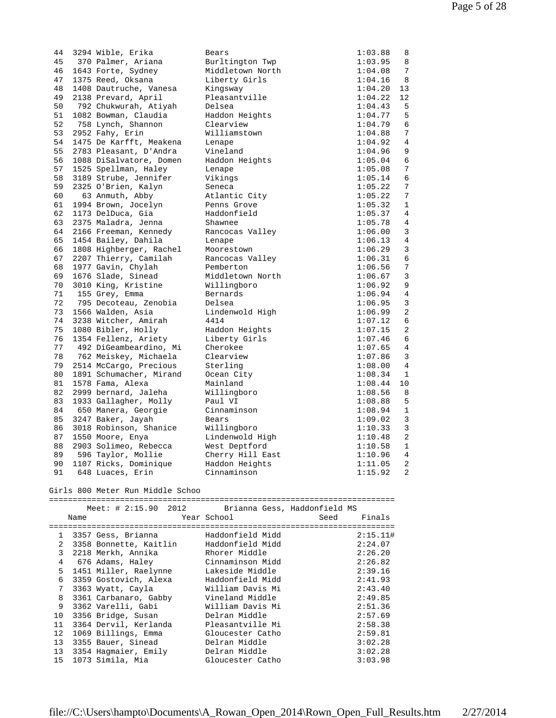| 44 |      | 3294 Wible, Erika                | Bears                        |      | 1:03.88     | 8              |
|----|------|----------------------------------|------------------------------|------|-------------|----------------|
| 45 |      | 370 Palmer, Ariana               | Burltington Twp              |      | 1:03.95     | 8              |
| 46 |      | 1643 Forte, Sydney               | Middletown North             |      | 1:04.08     | 7              |
| 47 |      | 1375 Reed, Oksana                | Liberty Girls                |      | 1:04.16     | 8              |
| 48 |      | 1408 Dautruche, Vanesa           | Kingsway                     |      | 1:04.20     | 13             |
| 49 |      | 2138 Prevard, April              | Pleasantville                |      | 1:04.22     | 12             |
| 50 |      | 792 Chukwurah, Atiyah            | Delsea                       |      | 1:04.43     | 5              |
| 51 |      | 1082 Bowman, Claudia             | Haddon Heights               |      | 1:04.77     | 5              |
| 52 |      | 758 Lynch, Shannon               | Clearview                    |      | 1:04.79     | 6              |
| 53 |      | 2952 Fahy, Erin                  | Williamstown                 |      | 1:04.88     | 7              |
| 54 |      | 1475 De Karfft, Meakena          | Lenape                       |      | 1:04.92     | 4              |
| 55 |      | 2783 Pleasant, D'Andra           | Vineland                     |      | 1:04.96     | 9              |
| 56 |      | 1088 DiSalvatore, Domen          | Haddon Heights               |      | 1:05.04     | 6              |
| 57 |      | 1525 Spellman, Haley             | Lenape                       |      | 1:05.08     | 7              |
| 58 |      | 3189 Strube, Jennifer            | Vikings                      |      | 1:05.14     | 6              |
| 59 |      | 2325 O'Brien, Kalyn              | Seneca                       |      | 1:05.22     | 7              |
| 60 |      | 63 Anmuth, Abby                  | Atlantic City                |      | 1:05.22     | 7              |
| 61 |      | 1994 Brown, Jocelyn              | Penns Grove                  |      | 1:05.32     | 1              |
|    |      |                                  |                              |      |             |                |
| 62 |      | 1173 DelDuca, Gia                | Haddonfield                  |      | 1:05.37     | 4              |
| 63 |      | 2375 Maladra, Jenna              | Shawnee                      |      | 1:05.78     | 4              |
| 64 |      | 2166 Freeman, Kennedy            | Rancocas Valley              |      | 1:06.00     | 3              |
| 65 |      | 1454 Bailey, Dahila              | Lenape                       |      | 1:06.13     | 4              |
| 66 |      | 1808 Highberger, Rachel          | Moorestown                   |      | 1:06.29     | 3              |
| 67 |      | 2207 Thierry, Camilah            | Rancocas Valley              |      | 1:06.31     | 6              |
| 68 |      | 1977 Gavin, Chylah               | Pemberton                    |      | 1:06.56     | 7              |
| 69 |      | 1676 Slade, Sinead               | Middletown North             |      | 1:06.67     | 3              |
| 70 |      | 3010 King, Kristine              | Willingboro                  |      | 1:06.92     | 9              |
| 71 |      | 155 Grey, Emma                   | Bernards                     |      | 1:06.94     | 4              |
| 72 |      | 795 Decoteau, Zenobia            | Delsea                       |      | 1:06.95     | 3              |
| 73 |      | 1566 Walden, Asia                | Lindenwold High              |      | 1:06.99     | 2              |
| 74 |      | 3238 Witcher, Amirah             | 4414                         |      | 1:07.12     | 6              |
| 75 |      | 1080 Bibler, Holly               | Haddon Heights               |      | 1:07.15     | 2              |
| 76 |      | 1354 Fellenz, Ariety             | Liberty Girls                |      | 1:07.46     | 6              |
| 77 |      | 492 DiGeambeardino, Mi           | Cherokee                     |      | 1:07.65     | 4              |
| 78 |      | 762 Meiskey, Michaela            | Clearview                    |      | 1:07.86     | 3              |
| 79 |      | 2514 McCargo, Precious           | Sterling                     |      | 1:08.00     | $\overline{4}$ |
| 80 |      | 1891 Schumacher, Mirand          | Ocean City                   |      | 1:08.34     | 1              |
| 81 |      | 1578 Fama, Alexa                 | Mainland                     |      | 1:08.44     | 10             |
| 82 |      | 2999 bernard, Jaleha             | Willingboro                  |      | 1:08.56     | 8              |
| 83 |      | 1933 Gallagher, Molly            | Paul VI                      |      | 1:08.88     | 5              |
| 84 |      | 650 Manera, Georgie              | Cinnaminson                  |      | 1:08.94     | $1\,$          |
| 85 |      | 3247 Baker, Jayah                | Bears                        |      | 1:09.02     | 3              |
| 86 |      | 3018 Robinson, Shanice           | Willingboro                  |      | 1:10.33     | 3              |
| 87 |      | 1550 Moore, Enya                 | Lindenwold High              |      | 1:10.48     | 2              |
| 88 |      | 2903 Solimeo, Rebecca            | West Deptford                |      | 1:10.58     | 1              |
|    |      | 89 596 Taylor, Mollie            | Cherry Hill East             |      | $1:10.96$ 4 |                |
| 90 |      | 1107 Ricks, Dominique            | Haddon Heights               |      | 1:11.05     | 2              |
| 91 |      | 648 Luaces, Erin                 | Cinnaminson                  |      | 1:15.92     | 2              |
|    |      |                                  |                              |      |             |                |
|    |      | Girls 800 Meter Run Middle Schoo |                              |      |             |                |
|    |      |                                  |                              |      |             |                |
|    |      | Meet: $\# 2:15.90$<br>2012       | Brianna Gess, Haddonfield MS |      |             |                |
|    | Name |                                  | Year School                  | Seed | Finals      |                |

|    | Name | ----------------------  | Year School      | Seed | Finals   |
|----|------|-------------------------|------------------|------|----------|
|    |      | 1 3357 Gess, Brianna    | Haddonfield Midd |      | 2:15.11# |
| 2  |      | 3358 Bonnette, Kaitlin  | Haddonfield Midd |      | 2:24.07  |
| 3  |      | 2218 Merkh, Annika      | Rhorer Middle    |      | 2:26.20  |
| 4  |      | 676 Adams, Haley        | Cinnaminson Midd |      | 2:26.82  |
| 5  |      | 1451 Miller, Raelynne   | Lakeside Middle  |      | 2:39.16  |
| 6  |      | 3359 Gostovich, Alexa   | Haddonfield Midd |      | 2:41.93  |
| 7  |      | 3363 Wyatt, Cayla       | William Davis Mi |      | 2:43.40  |
| 8  |      | 3361 Carbanaro, Gabby   | Vineland Middle  |      | 2:49.85  |
| 9  |      | 3362 Varelli, Gabi      | William Davis Mi |      | 2:51.36  |
| 10 |      | 3356 Bridge, Susan      | Delran Middle    |      | 2:57.69  |
| 11 |      | 3364 Dervil, Kerlanda   | Pleasantville Mi |      | 2:58.38  |
| 12 |      | 1069 Billings, Emma     | Gloucester Catho |      | 2:59.81  |
| 13 |      | 3355 Bauer, Sinead      | Delran Middle    |      | 3:02.28  |
|    |      | 13 3354 Hagmaier, Emily | Delran Middle    |      | 3:02.28  |
|    |      | 15 1073 Simila, Mia     | Gloucester Catho |      | 3:03.98  |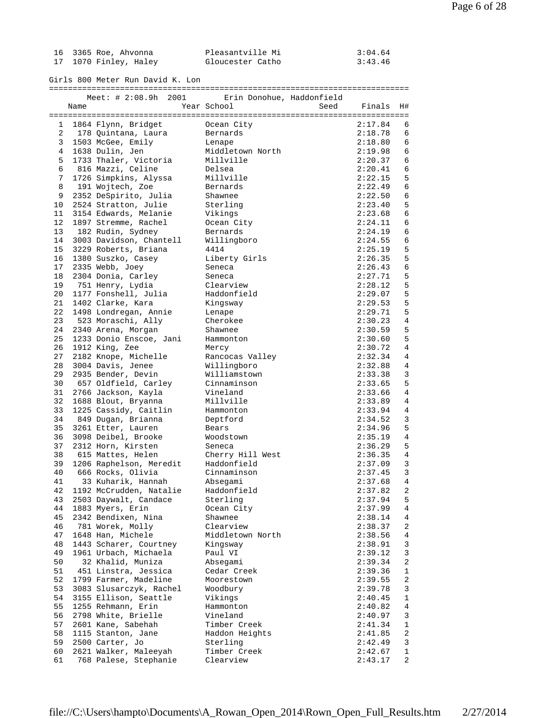| 16 3365 Roe, Ahvonna  | Pleasantville Mi | 3:04.64 |
|-----------------------|------------------|---------|
| 17 1070 Finley, Haley | Gloucester Catho | 3:43.46 |

Girls 800 Meter Run David K. Lon

============================================================================

|    |      | Meet: $\# 2:08.9h$<br>2001 | Erin Donohue, Haddonfield |                        |
|----|------|----------------------------|---------------------------|------------------------|
|    | Name |                            | Year School               | Seed<br>Finals<br>H#   |
|    |      |                            |                           |                        |
| 1  |      | 1864 Flynn, Bridget        | Ocean City                | 2:17.84<br>6           |
| 2  |      | 178 Quintana, Laura        | Bernards                  | 2:18.78<br>6           |
| 3  |      | 1503 McGee, Emily          | Lenape                    | 2:18.80<br>6           |
| 4  |      | 1638 Dulin, Jen            | Middletown North          | 2:19.98<br>6           |
| 5  |      | 1733 Thaler, Victoria      | Millville                 | 2:20.37<br>6           |
| 6  |      | 816 Mazzi, Celine          | Delsea                    | 2:20.41<br>6           |
| 7  |      | 1726 Simpkins, Alyssa      | Millville                 | 2:22.15<br>5           |
| 8  |      | 191 Wojtech, Zoe           | Bernards                  | 2:22.49<br>6           |
| 9  |      | 2352 DeSpirito, Julia      | Shawnee                   | 2:22.50<br>6           |
| 10 |      | 2524 Stratton, Julie       | Sterling                  | 2:23.40<br>5           |
| 11 |      | 3154 Edwards, Melanie      | Vikings                   | 2:23.68<br>6           |
| 12 |      | 1897 Stremme, Rachel       | Ocean City                | 6                      |
|    |      |                            |                           | 2:24.11                |
| 13 |      | 182 Rudin, Sydney          | Bernards                  | 2:24.19<br>6           |
| 14 |      | 3003 Davidson, Chantell    | Willingboro               | 2:24.55<br>6           |
| 15 |      | 3229 Roberts, Briana       | 4414                      | 2:25.19<br>5           |
| 16 |      | 1380 Suszko, Casey         | Liberty Girls             | 2:26.35<br>5           |
| 17 |      | 2335 Webb, Joey            | Seneca                    | 6<br>2:26.43           |
| 18 |      | 2304 Donia, Carley         | Seneca                    | 2:27.71<br>5           |
| 19 |      | 751 Henry, Lydia           | Clearview                 | 5<br>2:28.12           |
| 20 |      | 1177 Fonshell, Julia       | Haddonfield               | 5<br>2:29.07           |
| 21 |      | 1402 Clarke, Kara          | Kingsway                  | 2:29.53<br>5           |
| 22 |      | 1498 Londregan, Annie      | Lenape                    | 2:29.71<br>5           |
| 23 |      | 523 Moraschi, Ally         | Cherokee                  | 2:30.23<br>4           |
| 24 |      | 2340 Arena, Morgan         | Shawnee                   | 5<br>2:30.59           |
| 25 |      | 1233 Donio Enscoe, Jani    | Hammonton                 | 2:30.60<br>5           |
| 26 |      | 1912 King, Zee             | Mercy                     | 4<br>2:30.72           |
| 27 |      | 2182 Knope, Michelle       | Rancocas Valley           | 2:32.34<br>4           |
| 28 |      | 3004 Davis, Jenee          | Willingboro               | 2:32.88<br>4           |
| 29 |      | 2935 Bender, Devin         | Williamstown              | 3<br>2:33.38           |
| 30 |      | 657 Oldfield, Carley       | Cinnaminson               | 5<br>2:33.65           |
| 31 |      | 2766 Jackson, Kayla        | Vineland                  | 4<br>2:33.66           |
| 32 |      | 1688 Blout, Bryanna        | Millville                 | 2:33.89<br>4           |
| 33 |      | 1225 Cassidy, Caitlin      | Hammonton                 | 2:33.94<br>4           |
| 34 |      |                            |                           | 3                      |
|    |      | 849 Dugan, Brianna         | Deptford                  | 2:34.52                |
| 35 |      | 3261 Etter, Lauren         | Bears                     | 2:34.96<br>5           |
| 36 |      | 3098 Deibel, Brooke        | Woodstown                 | 4<br>2:35.19           |
| 37 |      | 2312 Horn, Kirsten         | Seneca                    | 5<br>2:36.29           |
| 38 |      | 615 Mattes, Helen          | Cherry Hill West          | 2:36.35<br>4           |
| 39 |      | 1206 Raphelson, Meredit    | Haddonfield               | 2:37.09<br>3           |
| 40 |      | 666 Rocks, Olivia          | Cinnaminson               | 3<br>2:37.45           |
| 41 |      | 33 Kuharik, Hannah         | Absegami                  | 2:37.68<br>4           |
| 42 |      | 1192 McCrudden, Natalie    | Haddonfield               | 2<br>2:37.82           |
|    |      | 43 2503 Daywalt, Candace   | Sterling                  | 5<br>2:37.94           |
| 44 |      | 1883 Myers, Erin           | Ocean City                | 2:37.99<br>4           |
| 45 |      | 2342 Bendixen, Nina        | Shawnee                   | 2:38.14<br>4           |
| 46 |      | 781 Worek, Molly           | Clearview                 | 2:38.37<br>2           |
| 47 |      | 1648 Han, Michele          | Middletown North          | 2:38.56<br>4           |
| 48 |      | 1443 Scharer, Courtney     | Kingsway                  | 2:38.91<br>3           |
| 49 |      | 1961 Urbach, Michaela      | Paul VI                   | 2:39.12<br>3           |
| 50 |      | 32 Khalid, Muniza          | Absegami                  | 2:39.34<br>2           |
| 51 |      | 451 Linstra, Jessica       | Cedar Creek               | 2:39.36<br>1           |
| 52 |      | 1799 Farmer, Madeline      | Moorestown                | 2:39.55<br>2           |
| 53 |      | 3083 Slusarczyk, Rachel    | Woodbury                  | 2:39.78<br>3           |
| 54 |      | 3155 Ellison, Seattle      | Vikings                   | 2:40.45<br>$\mathbf 1$ |
| 55 |      | 1255 Rehmann, Erin         | Hammonton                 | 2:40.82<br>4           |
| 56 |      | 2798 White, Brielle        | Vineland                  | 2:40.97<br>3           |
| 57 |      | 2601 Kane, Sabehah         | Timber Creek              | 2:41.34<br>1           |
| 58 |      | 1115 Stanton, Jane         | Haddon Heights            | 2:41.85<br>2           |
| 59 |      | 2500 Carter, Jo            | Sterling                  | 2:42.49<br>3           |
| 60 |      | 2621 Walker, Maleeyah      | Timber Creek              | 2:42.67<br>1           |
| 61 |      | 768 Palese, Stephanie      | Clearview                 | 2:43.17<br>2           |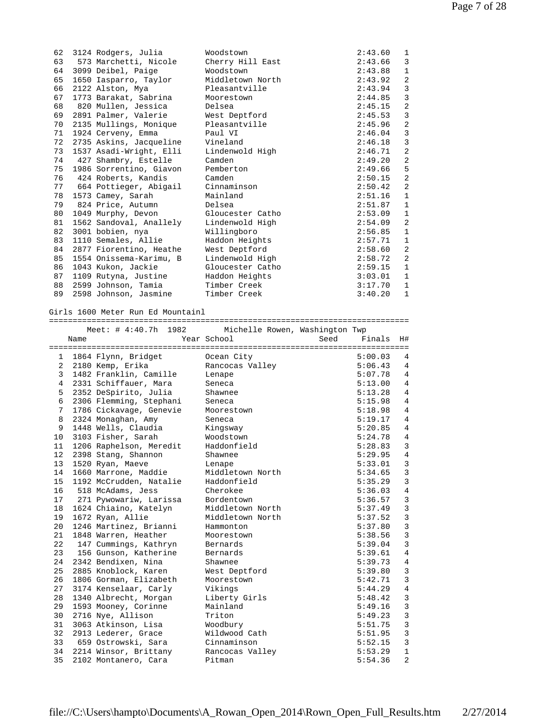| 62 | 3124 Rodgers, Julia     | Woodstown        | 2:43.60 | $\mathbf 1$    |
|----|-------------------------|------------------|---------|----------------|
| 63 | 573 Marchetti, Nicole   | Cherry Hill East | 2:43.66 | 3              |
| 64 | 3099 Deibel, Paige      | Woodstown        | 2:43.88 | $\mathbf 1$    |
| 65 | 1650 Iasparro, Taylor   | Middletown North | 2:43.92 | $\overline{2}$ |
| 66 | 2122 Alston, Mya        | Pleasantville    | 2:43.94 | 3              |
| 67 | 1773 Barakat, Sabrina   | Moorestown       | 2:44.85 | 3              |
| 68 | 820 Mullen, Jessica     | Delsea           | 2:45.15 | 2              |
| 69 | 2891 Palmer, Valerie    | West Deptford    | 2:45.53 | 3              |
| 70 | 2135 Mullings, Monique  | Pleasantville    | 2:45.96 | 2              |
| 71 | 1924 Cerveny, Emma      | Paul VI          | 2:46.04 | $\overline{3}$ |
| 72 | 2735 Askins, Jacqueline | Vineland         | 2:46.18 | $\overline{3}$ |
| 73 | 1537 Asadi-Wright, Elli | Lindenwold High  | 2:46.71 | 2              |
| 74 | 427 Shambry, Estelle    | Camden           | 2:49.20 | $\overline{2}$ |
| 75 | 1986 Sorrentino, Giavon | Pemberton        | 2:49.66 | 5              |
| 76 | 424 Roberts, Kandis     | Camden           | 2:50.15 | 2              |
| 77 | 664 Pottieger, Abigail  | Cinnaminson      | 2:50.42 | 2              |
| 78 | 1573 Camey, Sarah       | Mainland         | 2:51.16 | $\mathbf{1}$   |
| 79 | 824 Price, Autumn       | Delsea           | 2:51.87 | $\mathbf 1$    |
| 80 | 1049 Murphy, Devon      | Gloucester Catho | 2:53.09 | $\mathbf 1$    |
| 81 | 1562 Sandoval, Anallely | Lindenwold High  | 2:54.09 | 2              |
| 82 | 3001 bobien, nya        | Willingboro      | 2:56.85 | $\mathbf{1}$   |
| 83 | 1110 Semales, Allie     | Haddon Heights   | 2:57.71 | $\mathbf 1$    |
| 84 | 2877 Fiorentino, Heathe | West Deptford    | 2:58.60 | 2              |
| 85 | 1554 Onissema-Karimu, B | Lindenwold High  | 2:58.72 | 2              |
| 86 | 1043 Kukon, Jackie      | Gloucester Catho | 2:59.15 | $\mathbf{1}$   |
| 87 | 1109 Rutyna, Justine    | Haddon Heights   | 3:03.01 | $\mathbf{1}$   |
| 88 | 2599 Johnson, Tamia     | Timber Creek     | 3:17.70 | $\mathbf{1}$   |
| 89 | 2598 Johnson, Jasmine   | Timber Creek     | 3:40.20 | $\mathbf{1}$   |

Girls 1600 Meter Run Ed Mountainl

============================================================================

|                   |      | Meet: $\#$ 4:40.7h 1982  | Michelle Rowen, Washington Twp |      |         |                |
|-------------------|------|--------------------------|--------------------------------|------|---------|----------------|
|                   | Name |                          | Year School                    | Seed | Finals  | H#             |
|                   |      |                          |                                |      |         |                |
|                   |      | 1 1864 Flynn, Bridget    | Ocean City                     |      | 5:00.03 | 4              |
| $\overline{2}$    |      | 2180 Kemp, Erika         | Rancocas Valley                |      | 5:06.43 | 4              |
| $\mathbf{3}$      |      | 1482 Franklin, Camille   | Lenape                         |      | 5:07.78 | 4              |
| $\overline{4}$    |      | 2331 Schiffauer, Mara    | Seneca                         |      | 5:13.00 | 4              |
| 5                 |      | 2352 DeSpirito, Julia    | Shawnee                        |      | 5:13.28 | 4              |
| 6                 |      | 2306 Flemming, Stephani  | Seneca                         |      | 5:15.98 | 4              |
| 7                 |      | 1786 Cickavage, Genevie  | Moorestown                     |      | 5:18.98 | 4              |
| 8                 |      | 2324 Monaghan, Amy       | Seneca                         |      | 5:19.17 | 4              |
| 9                 |      | 1448 Wells, Claudia      | Kingsway                       |      | 5:20.85 | 4              |
| 10 <sub>1</sub>   |      | 3103 Fisher, Sarah       | Woodstown                      |      | 5:24.78 | $\overline{4}$ |
| 11                |      | 1206 Raphelson, Meredit  | Haddonfield                    |      | 5:28.83 | 3              |
| $12 \overline{ }$ |      | 2398 Stang, Shannon      | Shawnee                        |      | 5:29.95 | $\overline{4}$ |
| 13                |      | 1520 Ryan, Maeve         | Lenape                         |      | 5:33.01 | 3              |
| 14                |      | 1660 Marrone, Maddie     | Middletown North               |      | 5:34.65 | 3              |
| 15                |      | 1192 McCrudden, Natalie  | Haddonfield                    |      | 5:35.29 | $\overline{3}$ |
| 16                |      | 518 McAdams, Jess        | Cherokee                       |      | 5:36.03 | $\overline{4}$ |
| 17                |      | 271 Pywowariw, Larissa   | Bordentown                     |      | 5:36.57 | 3              |
| 18                |      | 1624 Chiaino, Katelyn    | Middletown North               |      | 5:37.49 | 3              |
| 19                |      | 1672 Ryan, Allie         | Middletown North               |      | 5:37.52 | 3              |
| 20                |      | 1246 Martinez, Brianni   | Hammonton                      |      | 5:37.80 | 3              |
| 21                |      | 1848 Warren, Heather     | Moorestown                     |      | 5:38.56 | 3              |
| 22                |      | 147 Cummings, Kathryn    | Bernards                       |      | 5:39.04 | 3              |
| 23                |      | 156 Gunson, Katherine    | Bernards                       |      | 5:39.61 | $\overline{4}$ |
| 24                |      | 2342 Bendixen, Nina      | Shawnee                        |      | 5:39.73 | $\overline{4}$ |
| 25                |      | 2885 Knoblock, Karen     | West Deptford                  |      | 5:39.80 | 3              |
| 26                |      | 1806 Gorman, Elizabeth   | Moorestown                     |      | 5:42.71 | 3              |
| 27                |      | 3174 Kenselaar, Carly    | Vikings                        |      | 5:44.29 | $\overline{4}$ |
| 28                |      | 1340 Albrecht, Morgan    | Liberty Girls                  |      | 5:48.42 | 3              |
| 29                |      | 1593 Mooney, Corinne     | Mainland                       |      | 5:49.16 | 3              |
| 30                |      | 2716 Nye, Allison        | Triton                         |      | 5:49.23 | 3              |
| 31                |      | 3063 Atkinson, Lisa      | Woodbury                       |      | 5:51.75 | 3              |
| 32                |      | 2913 Lederer, Grace      | Wildwood Cath                  |      | 5:51.95 | 3              |
| 33                |      | 659 Ostrowski, Sara      | Cinnaminson                    |      | 5:52.15 | 3              |
|                   |      | 34 2214 Winsor, Brittany | Rancocas Valley                |      | 5:53.29 | $\mathbf{1}$   |
| 35                |      | 2102 Montanero, Cara     | Pitman                         |      | 5:54.36 | $\overline{a}$ |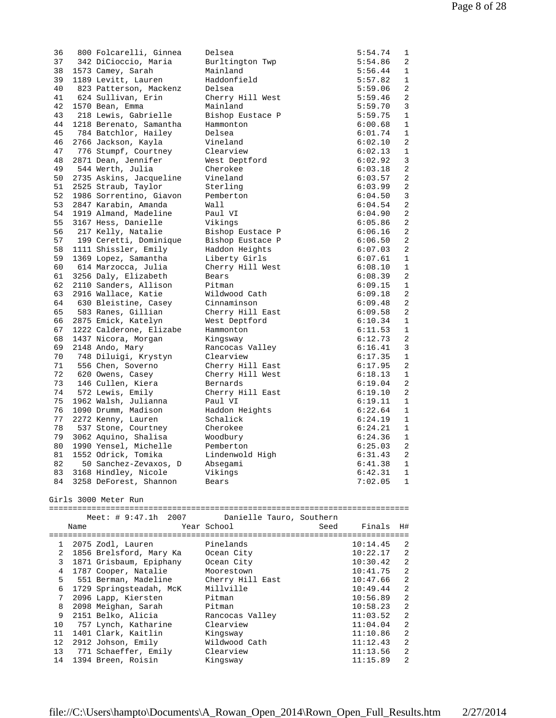| 36           |      |                         |                                      |          |                |
|--------------|------|-------------------------|--------------------------------------|----------|----------------|
|              |      | 800 Folcarelli, Ginnea  | Delsea                               | 5:54.74  | 1              |
| 37           |      | 342 DiCioccio, Maria    | Burltington Twp                      | 5:54.86  | 2              |
| 38           |      | 1573 Camey, Sarah       | Mainland                             | 5:56.44  | $\mathbf{1}$   |
| 39           |      | 1189 Levitt, Lauren     | Haddonfield                          | 5:57.82  | $\mathbf{1}$   |
| 40           |      | 823 Patterson, Mackenz  | Delsea                               | 5:59.06  | 2              |
| 41           |      | 624 Sullivan, Erin      | Cherry Hill West                     | 5:59.46  | 2              |
| 42           |      | 1570 Bean, Emma         | Mainland                             | 5:59.70  | 3              |
| 43           |      | 218 Lewis, Gabrielle    | Bishop Eustace P                     | 5:59.75  | $\mathbf 1$    |
| 44           |      | 1218 Berenato, Samantha | Hammonton                            | 6:00.68  | 1              |
| 45           |      | 784 Batchlor, Hailey    | Delsea                               | 6:01.74  | $\mathbf{1}$   |
| 46           |      | 2766 Jackson, Kayla     | Vineland                             | 6:02.10  | 2              |
| 47           |      | 776 Stumpf, Courtney    | Clearview                            | 6:02.13  | 1              |
| 48           |      | 2871 Dean, Jennifer     | West Deptford                        | 6:02.92  | 3              |
| 49           |      | 544 Werth, Julia        | Cherokee                             | 6:03.18  | 2              |
| 50           |      | 2735 Askins, Jacqueline | Vineland                             | 6:03.57  | 2              |
| 51           |      | 2525 Straub, Taylor     | Sterling                             | 6:03.99  | 2              |
| 52           |      | 1986 Sorrentino, Giavon | Pemberton                            | 6:04.50  | 3              |
| 53           |      | 2847 Karabin, Amanda    | Wall                                 | 6:04.54  | 2              |
| 54           |      | 1919 Almand, Madeline   | Paul VI                              | 6:04.90  | 2              |
| 55           |      | 3167 Hess, Danielle     | Vikings                              | 6:05.86  | 2              |
| 56           |      | 217 Kelly, Natalie      | Bishop Eustace P                     | 6:06.16  | 2              |
| 57           |      | 199 Ceretti, Dominique  | Bishop Eustace P                     | 6:06.50  | 2              |
| 58           |      | 1111 Shissler, Emily    | Haddon Heights                       | 6:07.03  | 2              |
| 59           |      | 1369 Lopez, Samantha    | Liberty Girls                        | 6:07.61  | $\mathbf{1}$   |
| 60           |      | 614 Marzocca, Julia     | Cherry Hill West                     | 6:08.10  | $\mathbf{1}$   |
| 61           |      | 3256 Daly, Elizabeth    | Bears                                | 6:08.39  | 2              |
| 62           |      | 2110 Sanders, Allison   | Pitman                               | 6:09.15  | 1              |
| 63           |      | 2916 Wallace, Katie     | Wildwood Cath                        | 6:09.18  | 2              |
| 64           |      | 630 Bleistine, Casey    | Cinnaminson                          | 6:09.48  | 2              |
| 65           |      | 583 Ranes, Gillian      | Cherry Hill East                     | 6:09.58  | 2              |
| 66           |      | 2875 Emick, Katelyn     | West Deptford                        | 6:10.34  | $\mathbf{1}$   |
| 67           |      | 1222 Calderone, Elizabe | Hammonton                            | 6:11.53  | $\mathbf{1}$   |
| 68           |      | 1437 Nicora, Morgan     |                                      | 6:12.73  | 2              |
|              |      | 2148 Ando, Mary         | Kingsway                             |          | 3              |
| 69           |      |                         | Rancocas Valley<br>Clearview         | 6:16.41  | $\mathbf{1}$   |
| 70<br>71     |      | 748 Diluigi, Krystyn    |                                      | 6:17.35  |                |
|              |      | 556 Chen, Soverno       | Cherry Hill East<br>Cherry Hill West | 6:17.95  | 2              |
|              |      |                         |                                      |          |                |
| 72           |      | 620 Owens, Casey        |                                      | 6:18.13  | 1              |
| 73           |      | 146 Cullen, Kiera       | Bernards                             | 6:19.04  | 2              |
| 74           |      | 572 Lewis, Emily        | Cherry Hill East                     | 6:19.10  | $\overline{a}$ |
| 75           |      | 1962 Walsh, Julianna    | Paul VI                              | 6:19.11  | 1              |
| 76           |      | 1090 Drumm, Madison     | Haddon Heights                       | 6:22.64  | 1              |
| 77           |      | 2272 Kenny, Lauren      | Schalick                             | 6:24.19  | $\mathbf{1}$   |
| 78           |      | 537 Stone, Courtney     | Cherokee                             | 6:24.21  | 1              |
| 79           |      | 3062 Aquino, Shalisa    | Woodbury                             | 6:24.36  | 1              |
| 80           |      | 1990 Yensel, Michelle   | Pemberton                            | 6:25.03  | 2              |
| 81           |      | 1552 Odrick, Tomika     | Lindenwold High                      | 6:31.43  | 2              |
| 82           |      | 50 Sanchez-Zevaxos, D   | Absegami                             | 6:41.38  | 1              |
| 83           |      | 3168 Hindley, Nicole    | Vikings                              | 6:42.31  | 1              |
| 84           |      | 3258 DeForest, Shannon  | Bears                                | 7:02.05  | 1              |
|              |      | Girls 3000 Meter Run    |                                      |          |                |
|              |      |                         |                                      |          |                |
|              |      | Meet: $\# 9:47.1h 2007$ | Danielle Tauro, Southern             |          |                |
|              | Name |                         | Year School<br>Seed                  | Finals   | H#             |
|              |      |                         |                                      |          |                |
| $\mathbf{1}$ |      | 2075 Zodl, Lauren       | Pinelands                            | 10:14.45 | 2              |
| 2            |      | 1856 Brelsford, Mary Ka | Ocean City                           | 10:22.17 | 2              |
| 3            |      | 1871 Grisbaum, Epiphany | Ocean City                           | 10:30.42 | 2              |
| 4            |      | 1787 Cooper, Natalie    | Moorestown                           | 10:41.75 | 2              |
| 5            |      | 551 Berman, Madeline    | Cherry Hill East                     | 10:47.66 | 2              |
| 6            |      | 1729 Springsteadah, McK | Millville                            | 10:49.44 | 2              |
| 7            |      | 2096 Lapp, Kiersten     | Pitman                               | 10:56.89 | 2              |
| 8            |      | 2098 Meighan, Sarah     | Pitman                               | 10:58.23 | 2              |
| 9            |      | 2151 Belko, Alicia      | Rancocas Valley                      | 11:03.52 | 2              |
| 10           |      | 757 Lynch, Katharine    | Clearview                            | 11:04.04 | 2              |
| 11           |      | 1401 Clark, Kaitlin     | Kingsway                             | 11:10.86 | 2              |
| 12           |      | 2912 Johson, Emily      | Wildwood Cath                        | 11:12.43 | 2              |
| 13           |      | 771 Schaeffer, Emily    | Clearview                            | 11:13.56 | 2              |
| 14           |      | 1394 Breen, Roisin      | Kingsway                             | 11:15.89 | 2              |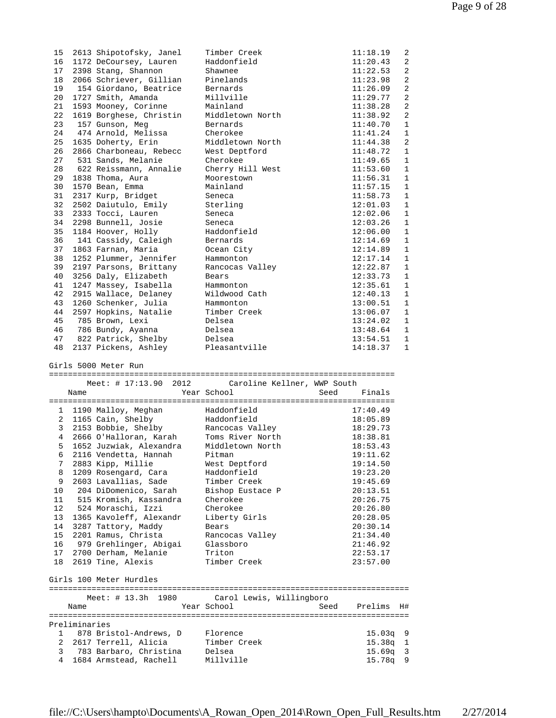| 15              |      | 2613 Shipotofsky, Janel  | Timber Creek                | 11:18.19       | 2              |
|-----------------|------|--------------------------|-----------------------------|----------------|----------------|
| 16              |      | 1172 DeCoursey, Lauren   | Haddonfield                 | 11:20.43       | 2              |
| 17              |      | 2398 Stang, Shannon      | Shawnee                     | 11:22.53       | 2              |
| 18              |      | 2066 Schriever, Gillian  | Pinelands                   | 11:23.98       | 2              |
| 19              |      | 154 Giordano, Beatrice   | Bernards                    | 11:26.09       | $\overline{2}$ |
| 20              |      | 1727 Smith, Amanda       | Millville                   | 11:29.77       | $\overline{2}$ |
| 21              |      | 1593 Mooney, Corinne     | Mainland                    | 11:38.28       | 2              |
| 22              |      | 1619 Borghese, Christin  | Middletown North            | 11:38.92       | 2              |
| 23              |      | 157 Gunson, Meg          | Bernards                    | 11:40.70       | $\mathbf{1}$   |
| 24              |      | 474 Arnold, Melissa      | Cherokee                    | 11:41.24       | 1              |
| 25              |      | 1635 Doherty, Erin       | Middletown North            | 11:44.38       | 2              |
| 26              |      | 2866 Charboneau, Rebecc  | West Deptford               | 11:48.72       | $\mathbf{1}$   |
| 27              |      | 531 Sands, Melanie       | Cherokee                    | 11:49.65       | $\mathbf{1}$   |
| 28              |      | 622 Reissmann, Annalie   | Cherry Hill West            | 11:53.60       | $\mathbf 1$    |
| 29              |      | 1838 Thoma, Aura         | Moorestown                  | 11:56.31       | $\mathbf{1}$   |
| 30              |      | 1570 Bean, Emma          | Mainland                    | 11:57.15       | $\mathbf{1}$   |
| 31              |      | 2317 Kurp, Bridget       | Seneca                      | 11:58.73       | $\mathbf 1$    |
| 32              |      | 2502 Daiutulo, Emily     | Sterling                    | 12:01.03       | $\mathbf{1}$   |
| 33              |      | 2333 Tocci, Lauren       | Seneca                      | 12:02.06       | $\mathbf{1}$   |
| 34              |      | 2298 Bunnell, Josie      | Seneca                      | 12:03.26       | $\mathbf{1}$   |
| 35              |      | 1184 Hoover, Holly       | Haddonfield                 | 12:06.00       | $\mathbf{1}$   |
| 36              |      | 141 Cassidy, Caleigh     | Bernards                    | 12:14.69       | $\mathbf{1}$   |
| 37              |      | 1863 Farnan, Maria       | Ocean City                  | 12:14.89       | $\mathbf{1}$   |
| 38              |      | 1252 Plummer, Jennifer   | Hammonton                   | 12:17.14       | $\mathbf 1$    |
| 39              |      | 2197 Parsons, Brittany   | Rancocas Valley             | 12:22.87       | $\mathbf{1}$   |
| 40              |      | 3256 Daly, Elizabeth     | Bears                       | 12:33.73       | $\mathbf{1}$   |
| 41              |      | 1247 Massey, Isabella    | Hammonton                   | 12:35.61       | $\mathbf{1}$   |
| 42              |      | 2915 Wallace, Delaney    | Wildwood Cath               | 12:40.13       | $\mathbf 1$    |
| 43              |      | 1260 Schenker, Julia     | Hammonton                   | 13:00.51       | $\mathbf{1}$   |
| 44              |      | 2597 Hopkins, Natalie    | Timber Creek                | 13:06.07       | $\mathbf{1}$   |
| 45              |      | 785 Brown, Lexi          | Delsea                      | 13:24.02       | 1              |
| 46              |      | 786 Bundy, Ayanna        | Delsea                      | 13:48.64       | $\mathbf{1}$   |
| 47              |      | 822 Patrick, Shelby      | Delsea                      | 13:54.51       | $\mathbf 1$    |
| 48              |      | 2137 Pickens, Ashley     | Pleasantville               | 14:18.37       | $\mathbf{1}$   |
|                 |      | Girls 5000 Meter Run     |                             |                |                |
|                 |      | Meet: # 17:13.90 2012    | Caroline Kellner, WWP South |                |                |
|                 | Name |                          | Year School                 | Seed<br>Finals |                |
|                 |      | 1 1190 Malloy, Meghan    | Haddonfield                 | 17:40.49       |                |
|                 |      | 2 1165 Cain, Shelby      | Haddonfield                 | 18:05.89       |                |
|                 |      | 3 2153 Bobbie, Shelby    | Rancocas Valley             | 18:29.73       |                |
|                 |      | 4 2666 O'Halloran, Karah | Toms River North            | 18:38.81       |                |
| 5               |      | 1652 Juzwiak, Alexandra  | Middletown North            | 18:53.43       |                |
| 6               |      | 2116 Vendetta, Hannah    | Pitman                      | 19:11.62       |                |
| 7               |      | 2883 Kipp, Millie        | West Deptford               | 19:14.50       |                |
| 8               |      | 1209 Rosengard, Cara     | Haddonfield                 | 19:23.20       |                |
| 9               |      | 2603 Lavallias, Sade     | Timber Creek                | 19:45.69       |                |
| 10 <sup>°</sup> |      | 204 DiDomenico, Sarah    | Bishop Eustace P            | 20:13.51       |                |
| 11              |      | 515 Kromish, Kassandra   | Cherokee                    | 20:26.75       |                |
| 12              |      | 524 Moraschi, Izzi       | Cherokee                    | 20:26.80       |                |
|                 |      |                          |                             |                |                |

 13 1365 Kavoleff, Alexandr Liberty Girls 20:28.05 14 3287 Tattory, Maddy Bears 20:30.14 15 2201 Ramus, Christa Rancocas Valley 21:34.40 16 979 Grehlinger, Abigai Glassboro 21:46.92 17 2700 Derham, Melanie Triton 22:53.17 18 2619 Tine, Alexis Timber Creek 23:57.00

============================================================================

 Name Year School Seed Prelims H# ============================================================================

 1 878 Bristol-Andrews, D Florence 15.03q 9 2 2617 Terrell, Alicia Timber Creek 15.38q 1 3 783 Barbaro, Christina Delsea 15.69q 3 4 1684 Armstead, Rachell Millville 15.78q 9

Meet: # 13.3h 1980 Carol Lewis, Willingboro

Girls 100 Meter Hurdles

Preliminaries

| file://C:\Users\hampto\Documents\A_Rowan_Open_2014\Rown_Open_Full_Results.htm |  | 2/27/2014 |
|-------------------------------------------------------------------------------|--|-----------|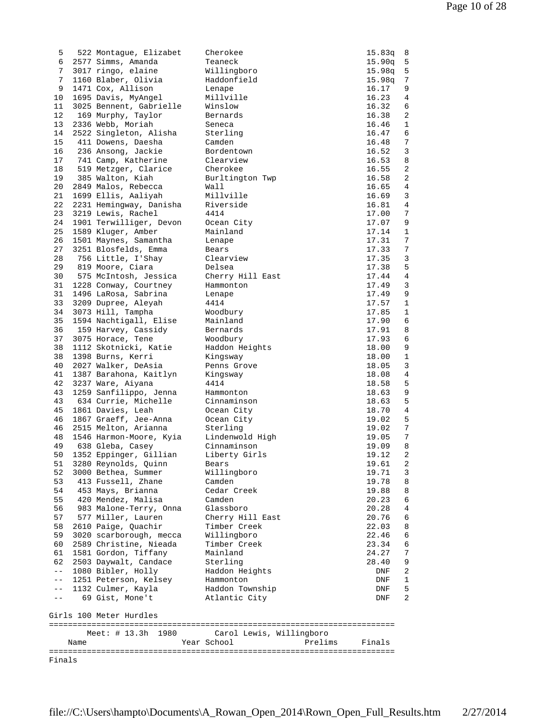| Finals         |      |                                               |                                  |                  |                |
|----------------|------|-----------------------------------------------|----------------------------------|------------------|----------------|
|                | Name |                                               | Year School<br>Prelims           | Finals           |                |
|                |      | Meet: # 13.3h 1980                            | Carol Lewis, Willingboro         |                  |                |
|                |      | Girls 100 Meter Hurdles                       |                                  |                  |                |
|                |      |                                               |                                  |                  |                |
| $- -$<br>$- -$ |      | 1132 Culmer, Kayla<br>69 Gist, Mone't         | Haddon Township<br>Atlantic City | DNF<br>DNF       | 5<br>2         |
| $ -$           |      | 1251 Peterson, Kelsey                         | Hammonton                        | DNF              | 1              |
| $ -$           |      | 1080 Bibler, Holly                            | Haddon Heights                   | DNF              | 2              |
| 62             |      | 2503 Daywalt, Candace                         | Sterling                         | 28.40            | 9              |
| 61             |      | 1581 Gordon, Tiffany                          | Mainland                         | 24.27            | 7              |
| 60             |      | 2589 Christine, Nieada                        | Timber Creek                     | 23.34            | 6              |
| 59             |      | 3020 scarborough, mecca                       | Willingboro                      | 22.46            | 6              |
| 58             |      | 2610 Paige, Quachir                           | Timber Creek                     | 22.03            | 8              |
| 56<br>57       |      | 983 Malone-Terry, Onna<br>577 Miller, Lauren  | Glassboro<br>Cherry Hill East    | 20.28<br>20.76   | 4<br>6         |
| 55             |      | 420 Mendez, Malisa                            | Camden                           | 20.23            | 6              |
| 54             |      | 453 Mays, Brianna                             | Cedar Creek                      | 19.88            | 8              |
| 53             |      | 413 Fussell, Zhane                            | Camden                           | 19.78            | 8              |
| 52             |      | 3000 Bethea, Summer                           | Willingboro                      | 19.71            | 3              |
| 51             |      | 3280 Reynolds, Quinn                          | Bears                            | 19.61            | 2              |
| 50             |      | 1352 Eppinger, Gillian                        | Liberty Girls                    | 19.12            | $\overline{a}$ |
| 49             |      | 638 Gleba, Casey                              | Cinnaminson                      | 19.09            | 8              |
| 48             |      | 1546 Harmon-Moore, Kyia                       | Lindenwold High                  | 19.05            | 7              |
| 46<br>46       |      | 1867 Graeff, Jee-Anna<br>2515 Melton, Arianna | Sterling                         | 19.02<br>19.02   | 5<br>7         |
| 45             |      | 1861 Davies, Leah                             | Ocean City<br>Ocean City         | 18.70            | 4              |
| 43             |      | 634 Currie, Michelle                          | Cinnaminson                      | 18.63            | 5              |
| 43             |      | 1259 Sanfilippo, Jenna                        | Hammonton                        | 18.63            | 9              |
| 42             |      | 3237 Ware, Aiyana                             | 4414                             | 18.58            | 5              |
| 41             |      | 1387 Barahona, Kaitlyn                        | Kingsway                         | 18.08            | 4              |
| 40             |      | 2027 Walker, DeAsia                           | Penns Grove                      | 18.05            | 3              |
| 38             |      | 1398 Burns, Kerri                             | Kingsway                         | 18.00            | $\mathbf{1}$   |
| 37<br>38       |      | 3075 Horace, Tene<br>1112 Skotnicki, Katie    | Woodbury<br>Haddon Heights       | 17.93<br>18.00   | 6<br>9         |
| 36             |      | 159 Harvey, Cassidy                           | Bernards                         | 17.91            | 8              |
| 35             |      | 1594 Nachtigall, Elise                        | Mainland                         | 17.90            | 6              |
| 34             |      | 3073 Hill, Tampha                             | Woodbury                         | 17.85            | 1              |
| 33             |      | 3209 Dupree, Aleyah                           | 4414                             | 17.57            | 1              |
| 31             |      | 1496 LaRosa, Sabrina                          | Lenape                           | 17.49            | 9              |
| 31             |      | 1228 Conway, Courtney                         | Hammonton                        | 17.49            | 3              |
| 30             |      | 575 McIntosh, Jessica                         | Cherry Hill East                 | 17.44            | 4              |
| 29             |      | 819 Moore, Ciara                              | Delsea                           | 17.38            | 5              |
| 27<br>28       |      | 3251 Blosfelds, Emma<br>756 Little, I'Shay    | Bears<br>Clearview               | 17.33<br>17.35   | 7<br>3         |
| 26             |      | 1501 Maynes, Samantha                         | Lenape                           | 17.31            | 7              |
| 25             |      | 1589 Kluger, Amber                            | Mainland                         | 17.14            | 1              |
| 24             |      | 1901 Terwilliger, Devon                       | Ocean City                       | 17.07            | 9              |
| 23             |      | 3219 Lewis, Rachel                            | 4414                             | 17.00            | 7              |
| 22             |      | 2231 Hemingway, Danisha                       | Riverside                        | 16.81            | 4              |
| 21             |      | 1699 Ellis, Aaliyah                           | Millville                        | 16.69            | 3              |
| 20             |      | 2849 Malos, Rebecca                           | Wall                             | 16.65            | 4              |
| 19             |      | 385 Walton, Kiah                              | Burltington Twp                  | 16.58            | 2              |
| 18             |      | 519 Metzger, Clarice                          | Cherokee                         | 16.55            | 2              |
| 16<br>17       |      | 236 Ansong, Jackie<br>741 Camp, Katherine     | Bordentown<br>Clearview          | 16.52<br>16.53   | 8              |
| 15             |      | 411 Dowens, Daesha                            | Camden                           | 16.48            | 7<br>3         |
| 14             |      | 2522 Singleton, Alisha                        | Sterling                         | 16.47            | 6              |
| 13             |      | 2336 Webb, Moriah                             | Seneca                           | 16.46            | $\mathbf{1}$   |
| 12             |      | 169 Murphy, Taylor                            | Bernards                         | 16.38            | 2              |
| 11             |      | 3025 Bennent, Gabrielle                       | Winslow                          | 16.32            | 6              |
| 10             |      | 1695 Davis, MyAngel                           | Millville                        | 16.23            | 4              |
| 9              |      | 1471 Cox, Allison                             | Lenape                           | 16.17            | 9              |
| 7<br>7         |      | 3017 ringo, elaine<br>1160 Blaber, Olivia     | Willingboro<br>Haddonfield       | 15.98q<br>15.98q | 5<br>7         |
| 6              |      | 2577 Simms, Amanda                            | Teaneck                          | 15.90q           | 5              |
| 5              |      | 522 Montague, Elizabet                        | Cherokee                         | 15.83q           | 8              |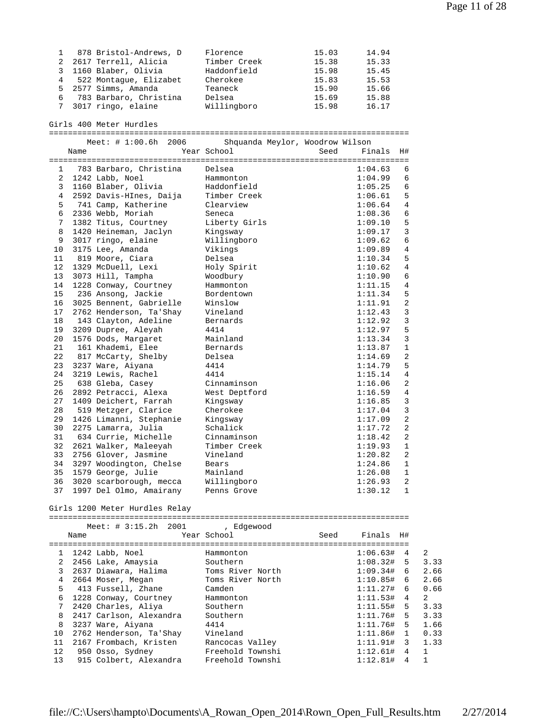| 1 878 Bristol-Andrews, D | Florence     | 15.03 | 14.94 |
|--------------------------|--------------|-------|-------|
| 2 2617 Terrell, Alicia   | Timber Creek | 15.38 | 15.33 |
| 3 1160 Blaber, Olivia    | Haddonfield  | 15.98 | 15.45 |
| 4 522 Montaque, Elizabet | Cherokee     | 15.83 | 15.53 |
| 5 2577 Simms, Amanda     | Teaneck      | 15.90 | 15.66 |
| 6 783 Barbaro, Christina | Delsea       | 15.69 | 15.88 |
| 7 3017 ringo, elaine     | Willingboro  | 15.98 | 16.17 |

Girls 400 Meter Hurdles

============================================================================

|              |      | Meet: $\# 1:00.6h$<br>2006 | Shquanda Meylor, Woodrow Wilson |                |                |
|--------------|------|----------------------------|---------------------------------|----------------|----------------|
|              | Name |                            | Year School                     | Seed<br>Finals | H#             |
|              |      |                            |                                 |                |                |
| $\mathbf{1}$ |      | 783 Barbaro, Christina     | Delsea                          | 1:04.63        | 6              |
| 2            |      | 1242 Labb, Noel            | Hammonton                       | 1:04.99        | 6              |
| 3            |      | 1160 Blaber, Olivia        | Haddonfield                     | 1:05.25        | 6              |
| 4            |      | 2592 Davis-HInes, Daija    | Timber Creek                    | 1:06.61        | 5              |
| 5.           |      | 741 Camp, Katherine        | Clearview                       | 1:06.64        | $\overline{4}$ |
| 6            |      | 2336 Webb, Moriah          | Seneca                          | 1:08.36        | 6              |
| 7            |      | 1382 Titus, Courtney       | Liberty Girls                   | 1:09.10        | 5              |
| 8            |      | 1420 Heineman, Jaclyn      | Kingsway                        | 1:09.17        | 3              |
| 9            |      | 3017 ringo, elaine         | Willingboro                     | 1:09.62        | 6              |
| 10           |      | 3175 Lee, Amanda           | Vikings                         | 1:09.89        | 4              |
| 11           |      | 819 Moore, Ciara           | Delsea                          | 1:10.34        | 5              |
| 12           |      | 1329 McDuell, Lexi         | Holy Spirit                     | 1:10.62        | $\overline{4}$ |
| 13           |      | 3073 Hill, Tampha          | Woodbury                        | 1:10.90        | 6              |
| 14           |      | 1228 Conway, Courtney      | Hammonton                       | 1:11.15        | $\overline{4}$ |
| 15           |      | 236 Ansong, Jackie         | Bordentown                      | 1:11.34        | 5              |
| 16           |      | 3025 Bennent, Gabrielle    | Winslow                         | 1:11.91        | $\overline{2}$ |
| 17           |      | 2762 Henderson, Ta'Shay    | Vineland                        | 1:12.43        | 3              |
| 18           |      | 143 Clayton, Adeline       | Bernards                        | 1:12.92        | 3              |
| 19           |      | 3209 Dupree, Aleyah        | 4414                            | 1:12.97        | 5              |
| 20           |      | 1576 Dods, Margaret        | Mainland                        | 1:13.34        | $\overline{3}$ |
| 21           |      | 161 Khademi, Elee          | Bernards                        | 1:13.87        | $\mathbf 1$    |
| 22           |      | 817 McCarty, Shelby        | Delsea                          | 1:14.69        | $\overline{2}$ |
| 23           |      | 3237 Ware, Aiyana          | 4414                            | 1:14.79        | 5              |
| 24           |      | 3219 Lewis, Rachel         | 4414                            | 1:15.14        | $\overline{4}$ |
| 25           |      | 638 Gleba, Casey           | Cinnaminson                     | 1:16.06        | 2              |
| 26           |      | 2892 Petracci, Alexa       | West Deptford                   | 1:16.59        | 4              |
| 27           |      | 1409 Deichert, Farrah      | Kingsway                        | 1:16.85        | 3              |
| 28           |      | 519 Metzger, Clarice       | Cherokee                        | 1:17.04        | 3              |
| 29           |      | 1426 Limanni, Stephanie    | Kingsway                        | 1:17.09        | $\overline{2}$ |
| 30           |      | 2275 Lamarra, Julia        | Schalick                        | 1:17.72        | $\overline{2}$ |
| 31           |      | 634 Currie, Michelle       | Cinnaminson                     | 1:18.42        | $\overline{2}$ |
| 32           |      | 2621 Walker, Maleeyah      | Timber Creek                    | 1:19.93        | $\mathbf{1}$   |
| 33           |      | 2756 Glover, Jasmine       | Vineland                        | 1:20.82        | 2              |
| 34           |      | 3297 Woodington, Chelse    | Bears                           | 1:24.86        | $\mathbf{1}$   |
| 35           |      | 1579 George, Julie         | Mainland                        | 1:26.08        | 1              |
| 36           |      | 3020 scarborough, mecca    | Willingboro                     | 1:26.93        | $\overline{2}$ |
| 37           |      | 1997 Del Olmo, Amairany    | Penns Grove                     | 1:30.12        | $\mathbf{1}$   |

Girls 1200 Meter Hurdles Relay

============================================================================ Meet: # 3:15.2h 2001 , Edgewood

|                 |      | MEEL $\cdot$ $\uparrow$ $\cdot$ $\downarrow$ $\cdot$ $\downarrow$ $\downarrow$ $\downarrow$ $\downarrow$ $\downarrow$ $\downarrow$ $\downarrow$ $\downarrow$ $\downarrow$ $\downarrow$ $\downarrow$ $\downarrow$ $\downarrow$ $\downarrow$ $\downarrow$ $\downarrow$ $\downarrow$ $\downarrow$ $\downarrow$ $\downarrow$ $\downarrow$ $\downarrow$ $\downarrow$ $\downarrow$ $\downarrow$ $\downarrow$ $\downarrow$ $\downarrow$ $\downarrow$ $\downarrow$ $\downarrow$ $\down$ |                  |      |                   |                |                |
|-----------------|------|---------------------------------------------------------------------------------------------------------------------------------------------------------------------------------------------------------------------------------------------------------------------------------------------------------------------------------------------------------------------------------------------------------------------------------------------------------------------------------|------------------|------|-------------------|----------------|----------------|
|                 | Name |                                                                                                                                                                                                                                                                                                                                                                                                                                                                                 | Year School      | Seed | Finals H#         |                |                |
|                 |      |                                                                                                                                                                                                                                                                                                                                                                                                                                                                                 |                  |      |                   |                |                |
| $\mathbf{1}$    |      | 1242 Labb, Noel                                                                                                                                                                                                                                                                                                                                                                                                                                                                 | Hammonton        |      | $1:06.63#$ 4      |                | $\overline{2}$ |
| 2               |      | 2456 Lake, Amaysia                                                                                                                                                                                                                                                                                                                                                                                                                                                              | Southern         |      | $1:08.32#$ 5      |                | 3.33           |
| 3               |      | 2637 Diawara, Halima                                                                                                                                                                                                                                                                                                                                                                                                                                                            | Toms River North |      | $1:09.34#$ 6      |                | 2.66           |
| 4               |      | 2664 Moser, Megan                                                                                                                                                                                                                                                                                                                                                                                                                                                               | Toms River North |      | $1:10.85#$ 6      |                | 2.66           |
| 5.              |      | 413 Fussell, Zhane                                                                                                                                                                                                                                                                                                                                                                                                                                                              | Camden           |      | $1:11.27#$ 6      |                | 0.66           |
| 6               |      | 1228 Conway, Courtney                                                                                                                                                                                                                                                                                                                                                                                                                                                           | Hammonton        |      | $1:11.53#$ 4      |                | $\overline{2}$ |
| 7               |      | 2420 Charles, Aliya                                                                                                                                                                                                                                                                                                                                                                                                                                                             | Southern         |      | $1:11.55#$ 5      |                | 3.33           |
| 8               |      | 2417 Carlson, Alexandra                                                                                                                                                                                                                                                                                                                                                                                                                                                         | Southern         |      | $1:11.76#$ 5      |                | 3.33           |
| 8               |      | 3237 Ware, Aiyana                                                                                                                                                                                                                                                                                                                                                                                                                                                               | 4414             |      | $1:11.76#$ 5      |                | 1.66           |
| 10              |      | 2762 Henderson, Ta'Shay                                                                                                                                                                                                                                                                                                                                                                                                                                                         | Vineland         |      | $1:11.86#$ 1      |                | 0.33           |
| 11              |      | 2167 Frombach, Kristen                                                                                                                                                                                                                                                                                                                                                                                                                                                          | Rancocas Valley  |      | $1:11.91#$ 3 1.33 |                |                |
| 12 <sup>°</sup> |      | 950 Osso, Sydney                                                                                                                                                                                                                                                                                                                                                                                                                                                                | Freehold Townshi |      | $1:12.61#$ 4      |                | $\overline{1}$ |
| 13              |      | 915 Colbert, Alexandra                                                                                                                                                                                                                                                                                                                                                                                                                                                          | Freehold Townshi |      | 1:12.81#          | $\overline{4}$ | $\mathbf{1}$   |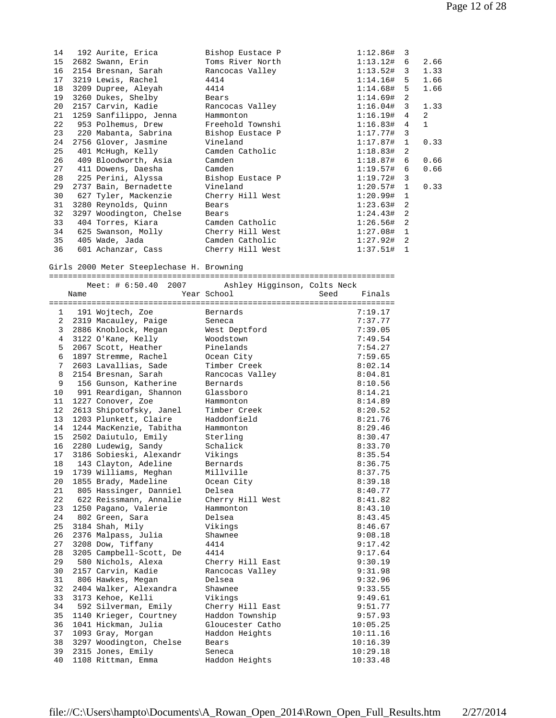| 14 | 192 Aurite, Erica       | Bishop Eustace P | $1:12.86#$ 3 |              |                |
|----|-------------------------|------------------|--------------|--------------|----------------|
| 15 | 2682 Swann, Erin        | Toms River North | 1:13.12# 6   |              | 2.66           |
| 16 | 2154 Bresnan, Sarah     | Rancocas Valley  | $1:13.52#$ 3 |              | 1.33           |
| 17 | 3219 Lewis, Rachel      | 4414             | $1:14.16#$ 5 |              | 1.66           |
| 18 | 3209 Dupree, Aleyah     | 4414             | 1:14.68# 5   |              | 1.66           |
| 19 | 3260 Dukes, Shelby      | Bears            | $1:14.69#$ 2 |              |                |
| 20 | 2157 Carvin, Kadie      | Rancocas Valley  | $1:16.04#$ 3 |              | 1.33           |
| 21 | 1259 Sanfilippo, Jenna  | Hammonton        | $1:16.19#$ 4 |              | $\overline{2}$ |
| 22 | 953 Polhemus, Drew      | Freehold Townshi | $1:16.83#$ 4 |              | $\mathbf{1}$   |
| 23 | 220 Mabanta, Sabrina    | Bishop Eustace P | $1:17.77#$ 3 |              |                |
| 24 | 2756 Glover, Jasmine    | Vineland         | $1:17.87#$ 1 |              | 0.33           |
| 25 | 401 McHugh, Kelly       | Camden Catholic  | $1:18.83#$ 2 |              |                |
| 26 | 409 Bloodworth, Asia    | Camden           | $1:18.87#$ 6 |              | 0.66           |
| 27 | 411 Dowens, Daesha      | Camden           | $1:19.57#$ 6 |              | 0.66           |
| 28 | 225 Perini, Alyssa      | Bishop Eustace P | $1:19.72#$ 3 |              |                |
| 29 | 2737 Bain, Bernadette   | Vineland         | $1:20.57#$ 1 |              | 0.33           |
| 30 | 627 Tyler, Mackenzie    | Cherry Hill West | 1:20.99# 1   |              |                |
| 31 | 3280 Reynolds, Quinn    | Bears            | $1:23.63#$ 2 |              |                |
| 32 | 3297 Woodington, Chelse | Bears            | $1:24.43#$ 2 |              |                |
| 33 | 404 Torres, Kiara       | Camden Catholic  | $1:26.56#$ 2 |              |                |
| 34 | 625 Swanson, Molly      | Cherry Hill West | 1:27.08#     | $\mathbf{1}$ |                |
| 35 | 405 Wade, Jada          | Camden Catholic  | $1:27.92#$ 2 |              |                |
| 36 | 601 Achanzar, Cass      | Cherry Hill West | 1:37.51#     | 1            |                |
|    |                         |                  |              |              |                |

Girls 2000 Meter Steeplechase H. Browning

========================================================================= Meet: # 6:50.40 2007 Ashley Higginson, Colts Neck

|    | Name |                         | Year School      | Seed | Finals   |
|----|------|-------------------------|------------------|------|----------|
|    |      |                         |                  |      |          |
| 1  |      | 191 Wojtech, Zoe        | Bernards         |      | 7:19.17  |
| 2  |      | 2319 Macauley, Paige    | Seneca           |      | 7:37.77  |
| 3  |      | 2886 Knoblock, Megan    | West Deptford    |      | 7:39.05  |
| 4  |      | 3122 O'Kane, Kelly      | Woodstown        |      | 7:49.54  |
| 5  |      | 2067 Scott, Heather     | Pinelands        |      | 7:54.27  |
| 6  |      | 1897 Stremme, Rachel    | Ocean City       |      | 7:59.65  |
| 7  |      | 2603 Lavallias, Sade    | Timber Creek     |      | 8:02.14  |
| 8  |      | 2154 Bresnan, Sarah     | Rancocas Valley  |      | 8:04.81  |
| 9  |      | 156 Gunson, Katherine   | Bernards         |      | 8:10.56  |
| 10 |      | 991 Reardigan, Shannon  | Glassboro        |      | 8:14.21  |
| 11 |      | 1227 Conover, Zoe       | Hammonton        |      | 8:14.89  |
| 12 |      | 2613 Shipotofsky, Janel | Timber Creek     |      | 8:20.52  |
| 13 |      | 1203 Plunkett, Claire   | Haddonfield      |      | 8:21.76  |
| 14 |      | 1244 MacKenzie, Tabitha | Hammonton        |      | 8:29.46  |
| 15 |      | 2502 Daiutulo, Emily    | Sterling         |      | 8:30.47  |
| 16 |      | 2280 Ludewig, Sandy     | Schalick         |      | 8:33.70  |
| 17 |      | 3186 Sobieski, Alexandr | Vikings          |      | 8:35.54  |
| 18 |      | 143 Clayton, Adeline    | Bernards         |      | 8:36.75  |
| 19 |      | 1739 Williams, Meghan   | Millville        |      | 8:37.75  |
| 20 |      | 1855 Brady, Madeline    | Ocean City       |      | 8:39.18  |
| 21 |      | 805 Hassinger, Danniel  | Delsea           |      | 8:40.77  |
| 22 |      | 622 Reissmann, Annalie  | Cherry Hill West |      | 8:41.82  |
| 23 |      | 1250 Pagano, Valerie    | Hammonton        |      | 8:43.10  |
| 24 |      | 802 Green, Sara         | Delsea           |      | 8:43.45  |
| 25 |      | 3184 Shah, Mily         | Vikings          |      | 8:46.67  |
| 26 |      | 2376 Malpass, Julia     | Shawnee          |      | 9:08.18  |
| 27 |      | 3208 Dow, Tiffany       | 4414             |      | 9:17.42  |
| 28 |      | 3205 Campbell-Scott, De | 4414             |      | 9:17.64  |
| 29 |      | 580 Nichols, Alexa      | Cherry Hill East |      | 9:30.19  |
| 30 |      | 2157 Carvin, Kadie      | Rancocas Valley  |      | 9:31.98  |
| 31 |      | 806 Hawkes, Megan       | Delsea           |      | 9:32.96  |
| 32 |      | 2404 Walker, Alexandra  | Shawnee          |      | 9:33.55  |
| 33 |      | 3173 Kehoe, Kelli       | Vikings          |      | 9:49.61  |
| 34 |      | 592 Silverman, Emily    | Cherry Hill East |      | 9:51.77  |
| 35 |      | 1140 Krieger, Courtney  | Haddon Township  |      | 9:57.93  |
| 36 |      | 1041 Hickman, Julia     | Gloucester Catho |      | 10:05.25 |
| 37 |      | 1093 Gray, Morgan       | Haddon Heights   |      | 10:11.16 |
| 38 |      | 3297 Woodington, Chelse | Bears            |      | 10:16.39 |
| 39 |      | 2315 Jones, Emily       | Seneca           |      | 10:29.18 |
| 40 |      | 1108 Rittman, Emma      | Haddon Heights   |      | 10:33.48 |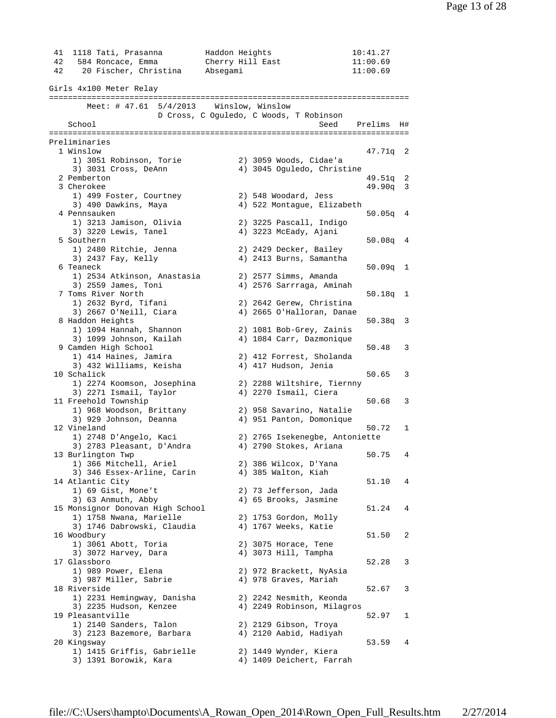| 42<br>42 | 41 1118 Tati, Prasanna<br>584 Roncace, Emma<br>20 Fischer, Christina | Haddon Heights<br>Cherry Hill East<br>Absegami |                                                      | 10:41.27<br>11:00.69<br>11:00.69 |    |
|----------|----------------------------------------------------------------------|------------------------------------------------|------------------------------------------------------|----------------------------------|----|
|          | Girls 4x100 Meter Relay                                              |                                                |                                                      |                                  |    |
|          |                                                                      |                                                |                                                      |                                  |    |
|          | Meet: $\#$ 47.61 5/4/2013 Winslow, Winslow                           |                                                |                                                      |                                  |    |
|          | School                                                               |                                                | D Cross, C Oguledo, C Woods, T Robinson              | Seed Prelims                     | H# |
|          |                                                                      |                                                |                                                      |                                  |    |
|          | Preliminaries                                                        |                                                |                                                      |                                  |    |
|          | 1 Winslow                                                            |                                                |                                                      | 47.71q 2                         |    |
|          | 1) 3051 Robinson, Torie                                              |                                                | 2) 3059 Woods, Cidae'a                               |                                  |    |
|          | 3) 3031 Cross, DeAnn                                                 |                                                | 4) 3045 Oguledo, Christine                           |                                  |    |
|          | 2 Pemberton                                                          |                                                |                                                      | 49.51q 2                         |    |
|          | 3 Cherokee                                                           |                                                |                                                      | $49.90q$ 3                       |    |
|          | 1) 499 Foster, Courtney                                              |                                                | 2) 548 Woodard, Jess                                 |                                  |    |
|          | 3) 490 Dawkins, Maya                                                 |                                                | 4) 522 Montague, Elizabeth                           |                                  |    |
|          | 4 Pennsauken                                                         |                                                |                                                      | $50.05q$ 4                       |    |
|          | 1) 3213 Jamison, Olivia                                              |                                                | 2) 3225 Pascall, Indigo                              |                                  |    |
|          | 3) 3220 Lewis, Tanel                                                 |                                                | 4) 3223 McEady, Ajani                                |                                  |    |
|          | 5 Southern                                                           |                                                |                                                      | $50.08q$ 4                       |    |
|          | 1) 2480 Ritchie, Jenna                                               |                                                | 2) 2429 Decker, Bailey                               |                                  |    |
|          | 3) 2437 Fay, Kelly                                                   |                                                | 4) 2413 Burns, Samantha                              |                                  |    |
|          | 6 Teaneck                                                            |                                                |                                                      | $50.09q$ 1                       |    |
|          | 1) 2534 Atkinson, Anastasia                                          |                                                | 2) 2577 Simms, Amanda                                |                                  |    |
|          | 3) 2559 James, Toni                                                  |                                                | 4) 2576 Sarrraga, Aminah                             |                                  |    |
|          | 7 Toms River North                                                   |                                                |                                                      | $50.18q$ 1                       |    |
|          | 1) 2632 Byrd, Tifani                                                 |                                                | 2) 2642 Gerew, Christina                             |                                  |    |
|          | 3) 2667 O'Neill, Ciara                                               |                                                | 4) 2665 O'Halloran, Danae                            |                                  |    |
|          | 8 Haddon Heights                                                     |                                                |                                                      | $50.38q$ 3                       |    |
|          | 1) 1094 Hannah, Shannon                                              |                                                | 2) 1081 Bob-Grey, Zainis                             |                                  |    |
|          | 3) 1099 Johnson, Kailah                                              |                                                | 4) 1084 Carr, Dazmonique                             |                                  |    |
|          | 9 Camden High School                                                 |                                                |                                                      | 50.48                            | 3  |
|          | 1) 414 Haines, Jamira                                                |                                                | 2) 412 Forrest, Sholanda                             |                                  |    |
|          | 3) 432 Williams, Keisha                                              |                                                | 4) 417 Hudson, Jenia                                 |                                  |    |
|          | 10 Schalick                                                          |                                                |                                                      | 50.65                            | 3  |
|          | 1) 2274 Koomson, Josephina                                           |                                                | 2) 2288 Wiltshire, Tiernny                           |                                  |    |
|          | 3) 2271 Ismail, Taylor                                               |                                                | 4) 2270 Ismail, Ciera                                |                                  |    |
|          | 11 Freehold Township                                                 |                                                |                                                      | 50.68                            | 3  |
|          | 1) 968 Woodson, Brittany<br>3) 929 Johnson, Deanna                   |                                                | 2) 958 Savarino, Natalie<br>4) 951 Panton, Domonique |                                  |    |
|          | 12 Vineland                                                          |                                                |                                                      | 50.72                            | 1  |
|          | 1) 2748 D'Angelo, Kaci                                               |                                                | 2) 2765 Isekenegbe, Antoniette                       |                                  |    |
|          | 3) 2783 Pleasant, D'Andra                                            |                                                | 4) 2790 Stokes, Ariana                               |                                  |    |
|          | 13 Burlington Twp                                                    |                                                |                                                      | 50.75                            | 4  |
|          | 1) 366 Mitchell, Ariel                                               |                                                | 2) 386 Wilcox, D'Yana                                |                                  |    |
|          | 3) 346 Essex-Arline, Carin                                           |                                                | 4) 385 Walton, Kiah                                  |                                  |    |
|          | 14 Atlantic City                                                     |                                                |                                                      | 51.10                            | 4  |
|          | 1) 69 Gist, Mone't                                                   |                                                | 2) 73 Jefferson, Jada                                |                                  |    |
|          | 3) 63 Anmuth, Abby                                                   |                                                | 4) 65 Brooks, Jasmine                                |                                  |    |
|          | 15 Monsignor Donovan High School                                     |                                                |                                                      | 51.24                            | 4  |
|          | 1) 1758 Nwana, Marielle                                              |                                                | 2) 1753 Gordon, Molly                                |                                  |    |
|          | 3) 1746 Dabrowski, Claudia                                           |                                                | 4) 1767 Weeks, Katie                                 |                                  |    |
|          | 16 Woodbury                                                          |                                                |                                                      | 51.50                            | 2  |
|          | 1) 3061 Abott, Toria                                                 |                                                | 2) 3075 Horace, Tene                                 |                                  |    |
|          | 3) 3072 Harvey, Dara                                                 |                                                | 4) 3073 Hill, Tampha                                 |                                  |    |
|          | 17 Glassboro                                                         |                                                |                                                      | 52.28                            | 3  |
|          | 1) 989 Power, Elena<br>3) 987 Miller, Sabrie                         |                                                | 2) 972 Brackett, NyAsia<br>4) 978 Graves, Mariah     |                                  |    |
|          | 18 Riverside                                                         |                                                |                                                      | 52.67                            | 3  |
|          | 1) 2231 Hemingway, Danisha                                           |                                                | 2) 2242 Nesmith, Keonda                              |                                  |    |
|          | 3) 2235 Hudson, Kenzee                                               |                                                | 4) 2249 Robinson, Milagros                           |                                  |    |
|          | 19 Pleasantville                                                     |                                                |                                                      | 52.97                            | 1  |
|          | 1) 2140 Sanders, Talon                                               |                                                | 2) 2129 Gibson, Troya                                |                                  |    |
|          | 3) 2123 Bazemore, Barbara                                            |                                                | 4) 2120 Aabid, Hadiyah                               |                                  |    |
|          | 20 Kingsway                                                          |                                                |                                                      | 53.59                            | 4  |
|          | 1) 1415 Griffis, Gabrielle                                           |                                                | 2) 1449 Wynder, Kiera                                |                                  |    |
|          | 3) 1391 Borowik, Kara                                                |                                                | 4) 1409 Deichert, Farrah                             |                                  |    |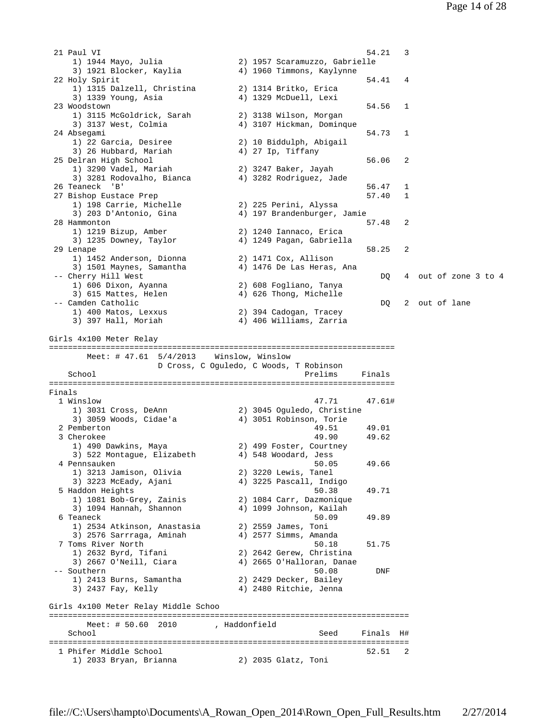21 Paul VI 54.21 3 1) 1944 Mayo, Julia 2) 1957 Scaramuzzo, Gabrielle 3) 1921 Blocker, Kaylia 4) 1960 Timmons, Kaylynne 22 Holy Spirit 54.41 4 1) 1315 Dalzell, Christina 2) 1314 Britko, Erica 3) 1339 Young, Asia 4) 1329 McDuell, Lexi 23 Woodstown 54.56 1 1) 3115 McGoldrick, Sarah 2) 3138 Wilson, Morgan 3) 3137 West, Colmia 4) 3107 Hickman, Dominque 24 Absegami 54.73 1 1) 22 Garcia, Desiree 2) 10 Biddulph, Abigail 3) 26 Hubbard, Mariah (4) 27 Ip, Tiffany 25 Delran High School 56.06 2 1) 3290 Vadel, Mariah 2) 3247 Baker, Jayah 3) 3281 Rodovalho, Bianca 4) 3282 Rodriguez, Jade 3) 3281 Rodovalho, Bianca (a) 3282 Rodriguez, Jade (36.47 1) 56.47 1 27 Bishop Eustace Prep 57.40 and 1 1) 198 Carrie, Michelle 2) 225 Perini, Alyssa 3) 203 D'Antonio, Gina 4) 197 Brandenburger, Jamie 28 Hammonton 57.48 2 1) 1219 Bizup, Amber 2) 1240 Iannaco, Erica 3) 1235 Downey, Taylor 4) 1249 Pagan, Gabriella 29 Lenape 58.25 2 1) 1452 Anderson, Dionna 2) 1471 Cox, Allison 3) 1501 Maynes, Samantha 4) 1476 De Las Heras, Ana -- Cherry Hill West  $DQ = 4$  out of zone 3 to 4 1) 606 Dixon, Ayanna 2) 608 Fogliano, Tanya 3) 615 Mattes, Helen 4) 626 Thong, Michelle -- Camden Catholic DQ 2 out of lane 1) 400 Matos, Lexxus 2) 394 Cadogan, Tracey 3) 397 Hall, Moriah 4) 406 Williams, Zarria Girls 4x100 Meter Relay ========================================================================= Meet: # 47.61 5/4/2013 Winslow, Winslow D Cross, C Oguledo, C Woods, T Robinson School **Prelims** Finals ========================================================================= Finals 1 Winslow 47.71 47.61# 1) 3031 Cross, DeAnn 2) 3045 Oguledo, Christine 3) 3059 Woods, Cidae'a 4) 3051 Robinson, Torie 2 Pemberton 49.51 49.01<br>3 Cherokee 49.90 49.62 3 Cherokee 49.90 49.62 1) 490 Dawkins, Maya 2) 499 Foster, Courtney 3) 522 Montague, Elizabeth 4) 548 Woodard, Jess 4 Pennsauken 50.05 49.66 1) 3213 Jamison, Olivia 2) 3220 Lewis, Tanel 3) 3223 McEady, Ajani 4) 3225 Pascall, Indigo 5 Haddon Heights 50.38 49.71 1) 1081 Bob-Grey, Zainis 2) 1084 Carr, Dazmonique 3) 1094 Hannah, Shannon 4) 1099 Johnson, Kailah 6 Teaneck 50.09 49.89 1) 2534 Atkinson, Anastasia 2) 2559 James, Toni 3) 2576 Sarrraga, Aminah 4) 2577 Simms, Amanda 7 Toms River North 50.18 51.75 1) 2632 Byrd, Tifani 2) 2642 Gerew, Christina 3) 2667 O'Neill, Ciara 4) 2665 O'Halloran, Danae -- Southern 50.08 DNF 1) 2413 Burns, Samantha 2) 2429 Decker, Bailey 3) 2437 Fay, Kelly 4) 2480 Ritchie, Jenna Girls 4x100 Meter Relay Middle Schoo ============================================================================ Meet: # 50.60 2010 , Haddonfield School Seed Finals H# ============================================================================ 1 Phifer Middle School 52.51 2 1) 2033 Bryan, Brianna 2) 2035 Glatz, Toni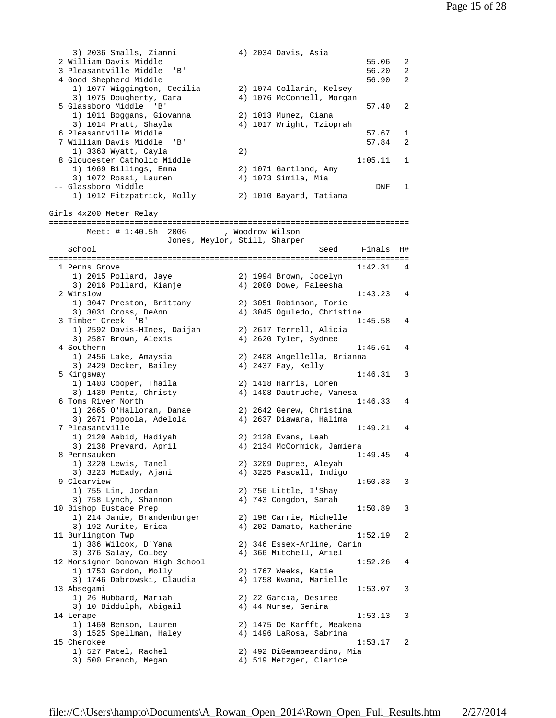```
 3) 2036 Smalls, Zianni 4) 2034 Davis, Asia 
  2 William Davis Middle 55.06 2 
  3 Pleasantville Middle 'B' 56.20 2 
 4 Good Shepherd Middle
 1) 1077 Wiggington, Cecilia 2) 1074 Collarin, Kelsey 
 3) 1075 Dougherty, Cara 4) 1076 McConnell, Morgan 
  5 Glassboro Middle 'B' 57.40 2 
   1) 1011 Boggans, Giovanna 2) 1013 Munez, Ciana 
   3) 1014 Pratt, Shayla (4) 1017 Wright, Tzioprah
  6 Pleasantville Middle 57.67 1 
 7 William Davis Middle 'B'
   1) 3363 Wyatt, Cayla 2) 
 8 Gloucester Catholic Middle 1:05.11 1
 1) 1069 Billings, Emma 2) 1071 Gartland, Amy 
 3) 1072 Rossi, Lauren 4) 1073 Simila, Mia 
3) 1072 Rossi, Lauren (a) 4) 1073 Simila, Mia (a) DNF 1
    1) 1012 Fitzpatrick, Molly 2) 1010 Bayard, Tatiana 
Girls 4x200 Meter Relay 
============================================================================ 
  Meet: # 1:40.5h 2006 , Woodrow Wilson
       Jones, Meylor, Still, Sharper 
  School Seed Finals H#
============================================================================ 
 1 Penns Grove 1:42.31 4<br>1) 2015 Pollard, Jaye 2) 1994 Brown, Jocelyn
 1) 2015 Pollard, Jaye 2) 1994 Brown, Jocelyn 
 3) 2016 Pollard, Kianje 4) 2000 Dowe, Faleesha 
 2 Winslow 1:43.23 4 
 1) 3047 Preston, Brittany 2) 3051 Robinson, Torie 
 3) 3031 Cross, DeAnn 4) 3045 Oguledo, Christine 
 3 Timber Creek 'B' 1:45.58 4 
 1) 2592 Davis-HInes, Daijah 2) 2617 Terrell, Alicia 
 3) 2587 Brown, Alexis 4) 2620 Tyler, Sydnee 
 4 Southern 1:45.61 4 
 1) 2456 Lake, Amaysia 2) 2408 Angellella, Brianna 
   3) 2429 Decker, Bailey (4) 2437 Fay, Kelly
 5 Kingsway 1:46.31 3 
 1) 1403 Cooper, Thaila 2) 1418 Harris, Loren 
 3) 1439 Pentz, Christy 4) 1408 Dautruche, Vanesa 
 6 Toms River North 1:46.33 4 
 1) 2665 O'Halloran, Danae 2) 2642 Gerew, Christina 
 3) 2671 Popoola, Adelola 4) 2637 Diawara, Halima 
  7 Pleasantville 1:49.21 4 
 1) 2120 Aabid, Hadiyah 2) 2128 Evans, Leah 
 3) 2138 Prevard, April 4) 2134 McCormick, Jamiera 
 8 Pennsauken 1:49.45 4 
 1) 3220 Lewis, Tanel 2) 3209 Dupree, Aleyah 
 3) 3223 McEady, Ajani 4) 3225 Pascall, Indigo 
 9 Clearview 1:50.33 3 
 1) 755 Lin, Jordan 2) 756 Little, I'Shay 
 3) 758 Lynch, Shannon 4) 743 Congdon, Sarah 
10 Bishop Eustace Prep 2012 1:50.89 3
 1) 214 Jamie, Brandenburger 2) 198 Carrie, Michelle 
 3) 192 Aurite, Erica 4) 202 Damato, Katherine 
11 Burlington Twp 1:52.19 2<br>1) 386 Wilcox, D'Yana 2 2) 346 Essex-Arline, Carin
 1) 386 Wilcox, D'Yana 2) 346 Essex-Arline, Carin 
 3) 376 Salay, Colbey 4) 366 Mitchell, Ariel 
 12 Monsignor Donovan High School 1:52.26 4 
 1) 1753 Gordon, Molly 2) 1767 Weeks, Katie 
 3) 1746 Dabrowski, Claudia 4) 1758 Nwana, Marielle 
 13 Absegami 1:53.07 3 
 1) 26 Hubbard, Mariah 2) 22 Garcia, Desiree 
 3) 10 Biddulph, Abigail 4) 44 Nurse, Genira 
 14 Lenape 1:53.13 3 
 1) 1460 Benson, Lauren 2) 1475 De Karfft, Meakena 
 3) 1525 Spellman, Haley 4) 1496 LaRosa, Sabrina 
 15 Cherokee 1:53.17 2 
 1) 527 Patel, Rachel 2) 492 DiGeambeardino, Mia 
 3) 500 French, Megan 4) 519 Metzger, Clarice
```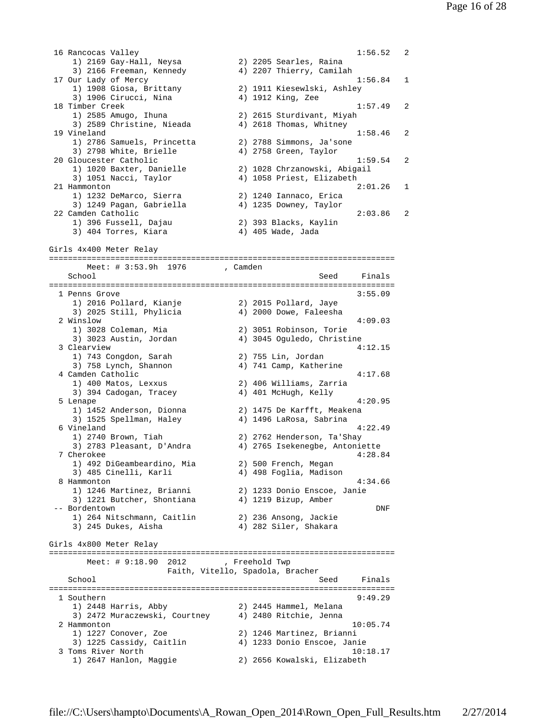16 Rancocas Valley 2012 1:56.52 2 1) 2169 Gay-Hall, Neysa 2) 2205 Searles, Raina 3) 2166 Freeman, Kennedy 4) 2207 Thierry, Camilah 17 Our Lady of Mercy 1:56.84 1 1) 1908 Giosa, Brittany 2) 1911 Kiesewlski, Ashley 3) 1906 Cirucci, Nina  $\begin{array}{ccc} 4 & 1912 \text{ King, Zee} \\ 18 & \text{Timber Creek} \end{array}$  18 Timber Creek 1:57.49 2 1) 2585 Amugo, Ihuna 2) 2615 Sturdivant, Miyah 3) 2589 Christine, Nieada 4) 2618 Thomas, Whitney 19 Vineland 1:58.46 2 1) 2786 Samuels, Princetta 2) 2788 Simmons, Ja'sone 3) 2798 White, Brielle 4) 2758 Green, Taylor 20 Gloucester Catholic 1:59.54 2 1) 1020 Baxter, Danielle 2) 1028 Chrzanowski, Abigail 3) 1051 Nacci, Taylor 4) 1058 Priest, Elizabeth 21 Hammonton 2:01.26 1 1) 1232 DeMarco, Sierra 2) 1240 Iannaco, Erica 3) 1249 Pagan, Gabriella 4) 1235 Downey, Taylor 22 Camden Catholic 2:03.86 2 1) 396 Fussell, Dajau 2) 393 Blacks, Kaylin 3) 404 Torres, Kiara (4) 405 Wade, Jada Girls 4x400 Meter Relay ========================================================================= Meet: # 3:53.9h 1976 , Camden School Seed Finals ========================================================================= 1 Penns Grove 3:55.09 1) 2016 Pollard, Kianje 2) 2015 Pollard, Jaye 3) 2025 Still, Phylicia 4) 2000 Dowe, Faleesha 2 Winslow 4:09.03<br>1) 3028 Coleman, Mia 2) 3051 Robinson, Torie 1) 3028 Coleman, Mia 2) 3051 Robinson, Torie 4) 3045 Oguledo, Christine 3 Clearview 4:12.15 1) 743 Congdon, Sarah 2) 755 Lin, Jordan 3) 758 Lynch, Shannon 4) 741 Camp, Katherine 4 Camden Catholic 4:17.68 1) 400 Matos, Lexxus 2) 406 Williams, Zarria 3) 394 Cadogan, Tracey 4) 401 McHugh, Kelly 5 Lenape 4:20.95 1) 1452 Anderson, Dionna 2) 1475 De Karfft, Meakena 3) 1525 Spellman, Haley 4) 1496 LaRosa, Sabrina 6 Vineland 4:22.49 1) 2740 Brown, Tiah 2) 2762 Henderson, Ta'Shay 3) 2783 Pleasant, D'Andra 4) 2765 Isekenegbe, Antoniette 7 Cherokee 4:28.84 1) 492 DiGeambeardino, Mia 2) 500 French, Megan 3) 485 Cinelli, Karli 4) 498 Foglia, Madison 8 Hammonton 4:34.66 1) 1246 Martinez, Brianni 2) 1233 Donio Enscoe, Janie 3) 1221 Butcher, Shontiana 4) 1219 Bizup, Amber -- Bordentown DNF 1) 264 Nitschmann, Caitlin 2) 236 Ansong, Jackie 3) 245 Dukes, Aisha 4) 282 Siler, Shakara Girls 4x800 Meter Relay ========================================================================= Meet: # 9:18.90 2012 , Freehold Twp Faith, Vitello, Spadola, Bracher School Seed Finals ========================================================================= 9:49.29 1 Southern 9:49.29<br>1) 2448 Harris, Abby 20 2445 Hammel, Melana 1) 2448 Harris, Abby 2) 2445 Hammel, Melana 3) 2472 Muraczewski, Courtney 4) 2480 Ritchie, Jenna 2 Hammonton 10:05.74 1) 1227 Conover, Zoe 2) 1246 Martinez, Brianni 3) 1225 Cassidy, Caitlin 4) 1233 Donio Enscoe, Janie 3 Toms River North 10:18.17 1) 2647 Hanlon, Maggie 2) 2656 Kowalski, Elizabeth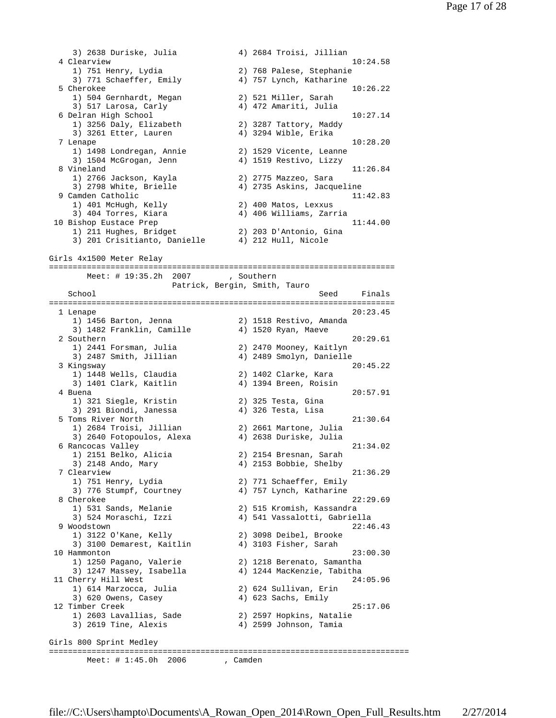3) 2638 Duriske, Julia 4) 2684 Troisi, Jillian 4 Clearview 10:24.58 1) 751 Henry, Lydia 2) 768 Palese, Stephanie 3) 771 Schaeffer, Emily 4) 757 Lynch, Katharine 5 Cherokee 10:26.22 1) 504 Gernhardt, Megan 2) 521 Miller, Sarah 3) 517 Larosa, Carly 6 Delran High School 10:27.14 1) 3256 Daly, Elizabeth 2) 3287 Tattory, Maddy 3) 3261 Etter, Lauren 4) 3294 Wible, Erika 7 Lenape 10:28.20 1) 1498 Londregan, Annie 2) 1529 Vicente, Leanne 3) 1504 McGrogan, Jenn 4) 1519 Restivo, Lizzy 8 Vineland 11:26.84 1) 2766 Jackson, Kayla 2) 2775 Mazzeo, Sara 3) 2798 White, Brielle 4) 2735 Askins, Jacqueline 9 Camden Catholic 11:42.83 1) 401 McHugh, Kelly 2) 400 Matos, Lexxus 3) 404 Torres, Kiara 4) 406 Williams, Zarria 10 Bishop Eustace Prep 11:44.00 1) 211 Hughes, Bridget 2) 203 D'Antonio, Gina 3) 201 Crisitianto, Danielle 4) 212 Hull, Nicole Girls 4x1500 Meter Relay ========================================================================= Meet: # 19:35.2h 2007 , Southern Patrick, Bergin, Smith, Tauro School Seed Finals ========================================================================= 1 Lenape 20:23.45 1) 1456 Barton, Jenna 2) 1518 Restivo, Amanda 3) 1482 Franklin, Camille 4) 1520 Ryan, Maeve 2 Southern 20:29.61 1) 2441 Forsman, Julia 2) 2470 Mooney, Kaitlyn 3) 2487 Smith, Jillian 4) 2489 Smolyn, Danielle 3 Kingsway 20:45.22 1) 1448 Wells, Claudia 2) 1402 Clarke, Kara 3) 1401 Clark, Kaitlin 4) 1394 Breen, Roisin 4 Buena 20:57.91 1) 321 Siegle, Kristin 2) 325 Testa, Gina 3) 291 Biondi, Janessa 4) 326 Testa, Lisa 5 Toms River North 21:30.64<br>1) 2684 Troisi, Jillian 2) 2661 Martone, Julia 1) 2684 Troisi, Jillian 2) 2661 Martone, Julia 3) 2640 Fotopoulos, Alexa 4) 2638 Duriske, Julia 6 Rancocas Valley 21:34.02 1) 2151 Belko, Alicia 2) 2154 Bresnan, Sarah 3) 2148 Ando, Mary 4) 2153 Bobbie, Shelby 7 Clearview 21:36.29<br>
21:36.29 1) 751 Henry, Lydia 2 2) 771 Schaeffer, Emily 1) 751 Henry, Lydia 2) 771 Schaeffer, Emily 3) 776 Stumpf, Courtney 4) 757 Lynch, Katharine 8 Cherokee 22:29.69 1) 531 Sands, Melanie 2) 515 Kromish, Kassandra 3) 524 Moraschi, Izzi 4) 541 Vassalotti, Gabriella 9 Woodstown 22:46.43<br>1) 3122 O'Kane, Kelly 2) 3098 Deibel, Brooke 1) 3122 O'Kane, Kelly 2) 3098 Deibel, Brooke 3) 3100 Demarest, Kaitlin 4) 3103 Fisher, Sarah 10 Hammonton 23:00.30 1) 1250 Pagano, Valerie 2) 1218 Berenato, Samantha 3) 1247 Massey, Isabella 4) 1244 MacKenzie, Tabitha 11 Cherry Hill West 24:05.96<br>1) 614 Marzocca, Julia 2) 624 Sullivan, Erin 1) 614 Marzocca, Julia 2) 624 Sullivan, Erin 3) 620 Owens, Casey 4) 623 Sachs, Emily 12 Timber Creek 25:17.06 1) 2603 Lavallias, Sade 2) 2597 Hopkins, Natalie 3) 2619 Tine, Alexis 4) 2599 Johnson, Tamia Girls 800 Sprint Medley ============================================================================ Meet: # 1:45.0h 2006 , Camden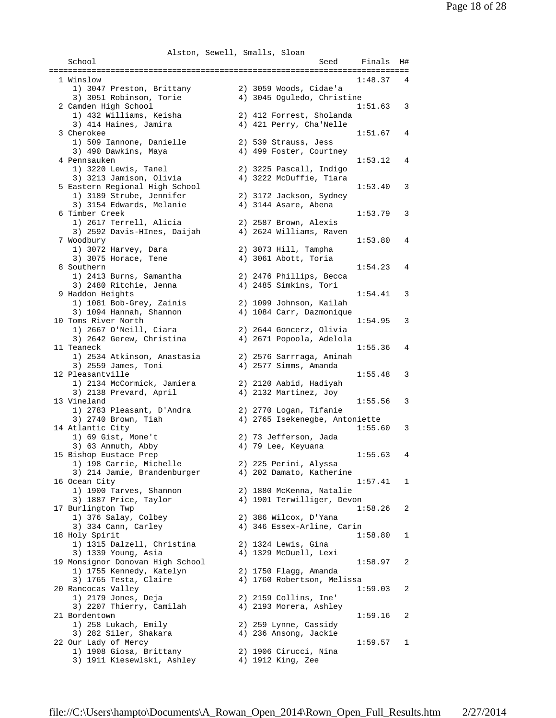Alston, Sewell, Smalls, Sloan School Seed Finals H# ============================================================================ 1 Winslow 1:48.37 4 1) 3047 Preston, Brittany 2) 3059 Woods, Cidae'a 3) 3051 Robinson, Torie 4) 3045 Oguledo, Christine 2 Camden High School 1:51.63 3 1) 432 Williams, Keisha 2) 412 Forrest, Sholanda 3) 414 Haines, Jamira 4) 421 Perry, Cha'Nelle 3 Cherokee 1:51.67 4 1) 509 Iannone, Danielle 2) 539 Strauss, Jess 3) 490 Dawkins, Maya 4) 499 Foster, Courtney 4 Pennsauken 1:53.12 4 1) 3220 Lewis, Tanel 2) 3225 Pascall, Indigo 3) 3213 Jamison, Olivia 4) 3222 McDuffie, Tiara 5 Eastern Regional High School 1:53.40 3 1) 3189 Strube, Jennifer 2) 3172 Jackson, Sydney 3) 3154 Edwards, Melanie 4) 3144 Asare, Abena 6 Timber Creek 1:53.79 3 1) 2617 Terrell, Alicia 2) 2587 Brown, Alexis 3) 2592 Davis-HInes, Daijah 4) 2624 Williams, Raven 7 Woodbury 1:53.80 4 1) 3072 Harvey, Dara 2) 3073 Hill, Tampha 3) 3075 Horace, Tene 4) 3061 Abott, Toria 8 Southern 1:54.23 4 1) 2413 Burns, Samantha 2) 2476 Phillips, Becca 3) 2480 Ritchie, Jenna 4) 2485 Simkins, Tori 9 Haddon Heights 1:54.41 3 1) 1081 Bob-Grey, Zainis 2) 1099 Johnson, Kailah 3) 1094 Hannah, Shannon 4) 1084 Carr, Dazmonique 10 Toms River North 1:54.95 3 1) 2667 O'Neill, Ciara 2) 2644 Goncerz, Olivia 3) 2642 Gerew, Christina 4) 2671 Popoola, Adelola 11 Teaneck 1:55.36 4 1) 2534 Atkinson, Anastasia 2) 2576 Sarrraga, Aminah 3) 2559 James, Toni 4) 2577 Simms, Amanda 12 Pleasantville 1:55.48 3 1) 2134 McCormick, Jamiera 2) 2120 Aabid, Hadiyah 3) 2138 Prevard, April 4) 2132 Martinez, Joy 13 Vineland 1:55.56 3 1) 2783 Pleasant, D'Andra 2) 2770 Logan, Tifanie 3) 2740 Brown, Tiah 4) 2765 Isekenegbe, Antoniette 14 Atlantic City 1:55.60 3 1) 69 Gist, Mone't 2) 73 Jefferson, Jada 3) 63 Anmuth, Abby (4) 79 Lee, Keyuana 15 Bishop Eustace Prep 1:55.63 4 1) 198 Carrie, Michelle 2) 225 Perini, Alyssa 3) 214 Jamie, Brandenburger 4) 202 Damato, Katherine 16 Ocean City 1:57.41 1 1) 1900 Tarves, Shannon 2) 1880 McKenna, Natalie 3) 1887 Price, Taylor 4) 1901 Terwilliger, Devon 17 Burlington Twp 1:58.26 2 1) 376 Salay, Colbey 2) 386 Wilcox, D'Yana 3) 334 Cann, Carley 4) 346 Essex-Arline, Carin 18 Holy Spirit 1:58.80 1 1) 1315 Dalzell, Christina 2) 1324 Lewis, Gina 3) 1339 Young, Asia 4) 1329 McDuell, Lexi 19 Monsignor Donovan High School 1:58.97 2 1) 1755 Kennedy, Katelyn 2) 1750 Flagg, Amanda 3) 1765 Testa, Claire 4) 1760 Robertson, Melissa 20 Rancocas Valley 1:59.03 2 1) 2179 Jones, Deja 2) 2159 Collins, Ine' 3) 2207 Thierry, Camilah 4) 2193 Morera, Ashley 21 Bordentown 1:59.16 2 1) 258 Lukach, Emily 2) 259 Lynne, Cassidy 3) 282 Siler, Shakara 4) 236 Ansong, Jackie 22 Our Lady of Mercy 1:59.57 1 1) 1908 Giosa, Brittany 2) 1906 Cirucci, Nina 3) 1911 Kiesewlski, Ashley 4) 1912 King, Zee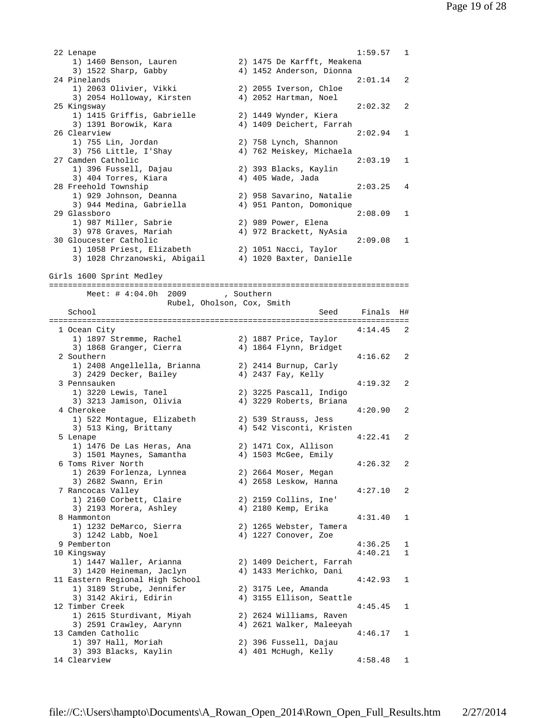22 Lenape 1:59.57 1 1) 1460 Benson, Lauren 2) 1475 De Karfft, Meakena 3) 1522 Sharp, Gabby 4) 1452 Anderson, Dionna 24 Pinelands 2:01.14 2 1) 2063 Olivier, Vikki 2) 2055 Iverson, Chloe 3) 2054 Holloway, Kirsten 4) 2052 Hartman, Noel 25 Kingsway 2:02.32 2 1) 1415 Griffis, Gabrielle 2) 1449 Wynder, Kiera 3) 1391 Borowik, Kara 4) 1409 Deichert, Farrah 26 Clearview 2:02.94 1 1) 755 Lin, Jordan 2) 758 Lynch, Shannon 3) 756 Little, I'Shay 4) 762 Meiskey, Michaela 27 Camden Catholic 2:03.19 1 1) 396 Fussell, Dajau 2) 393 Blacks, Kaylin 3) 404 Torres, Kiara (4) 405 Wade, Jada 28 Freehold Township 2:03.25 4 1) 929 Johnson, Deanna 2) 958 Savarino, Natalie 3) 944 Medina, Gabriella 4) 951 Panton, Domonique 29 Glassboro 2:08.09 1 1) 987 Miller, Sabrie 2) 989 Power, Elena 3) 978 Graves, Mariah 4) 972 Brackett, NyAsia 30 Gloucester Catholic 2:09.08 1 1) 1058 Priest, Elizabeth 2) 1051 Nacci, Taylor 3) 1028 Chrzanowski, Abigail 4) 1020 Baxter, Danielle Girls 1600 Sprint Medley ============================================================================ Meet: # 4:04.0h 2009 , Southern Rubel, Oholson, Cox, Smith School **Seed** Finals H# ============================================================================ 1 Ocean City 4:14.45 2 1) 1897 Stremme, Rachel 2) 1887 Price, Taylor 3) 1868 Granger, Cierra 4) 1864 Flynn, Bridget 2 Southern 4:16.62 2 1) 2408 Angellella, Brianna 2) 2414 Burnup, Carly 3) 2429 Decker, Bailey 4) 2437 Fay, Kelly<br>3 Pennsauken 3 Pennsauken 4:19.32 2 1) 3220 Lewis, Tanel 2) 3225 Pascall, Indigo 3) 3213 Jamison, Olivia 4) 3229 Roberts, Briana 4 Cherokee 4:20.90 2 1) 522 Montague, Elizabeth 2) 539 Strauss, Jess 3) 513 King, Brittany 4) 542 Visconti, Kristen 5 Lenape 4:22.41 2 1) 1476 De Las Heras, Ana 2) 1471 Cox, Allison 3) 1501 Maynes, Samantha 4) 1503 McGee, Emily 6 Toms River North 4:26.32 2 1) 2639 Forlenza, Lynnea 2) 2664 Moser, Megan 3) 2682 Swann, Erin 4) 2658 Leskow, Hanna 7 Rancocas Valley 4:27.10 2 1) 2160 Corbett, Claire 2) 2159 Collins, Ine' 3) 2193 Morera, Ashley 4) 2180 Kemp, Erika 8 Hammonton 4:31.40 1 1) 1232 DeMarco, Sierra 2) 1265 Webster, Tamera 3) 1242 Labb, Noel 4) 1227 Conover, Zoe 9 Pemberton 4:36.25 1 10 Kingsway 4:40.21 1 1) 1447 Waller, Arianna 2) 1409 Deichert, Farrah 3) 1420 Heineman, Jaclyn 4) 1433 Merichko, Dani 11 Eastern Regional High School 4:42.93 1 1) 3189 Strube, Jennifer 2) 3175 Lee, Amanda 3) 3142 Akiri, Edirin 4) 3155 Ellison, Seattle 12 Timber Creek 4:45.45 1 1) 2615 Sturdivant, Miyah 2) 2624 Williams, Raven 3) 2591 Crawley, Aarynn 4) 2621 Walker, Maleeyah 13 Camden Catholic 4:46.17 1 1) 397 Hall, Moriah 2) 396 Fussell, Dajau 3) 393 Blacks, Kaylin 4) 401 McHugh, Kelly 14 Clearview 4:58.48 1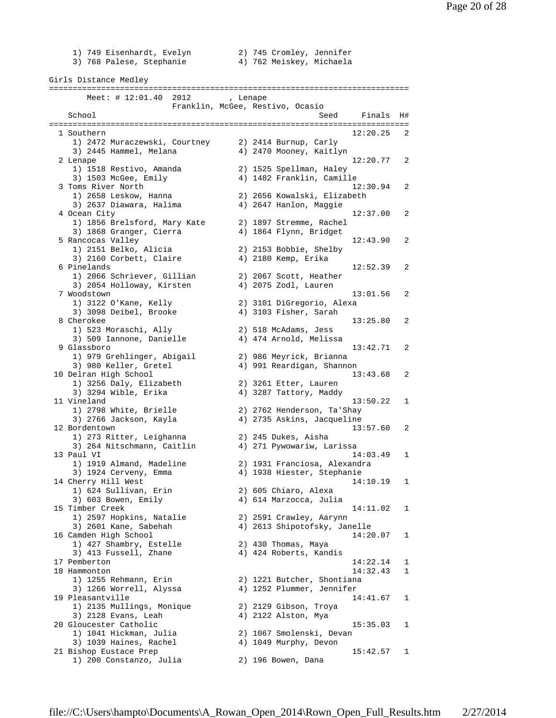1) 749 Eisenhardt, Evelyn 2) 745 Cromley, Jennifer 3) 768 Palese, Stephanie 4) 762 Meiskey, Michaela Girls Distance Medley ============================================================================ Meet: # 12:01.40 2012 , Lenape Franklin, McGee, Restivo, Ocasio School Seed Finals H# ============================================================================ 1 Southern 12:20.25 2 1) 2472 Muraczewski, Courtney 2) 2414 Burnup, Carly 3) 2445 Hammel, Melana 4) 2470 Mooney, Kaitlyn 2 Lenape 12:20.77 2 1) 1518 Restivo, Amanda 2) 1525 Spellman, Haley 3) 1503 McGee, Emily 4) 1482 Franklin, Camille 3 Toms River North 12:30.94 2 1) 2658 Leskow, Hanna 2) 2656 Kowalski, Elizabeth 3) 2637 Diawara, Halima 4) 2647 Hanlon, Maggie 4 Ocean City 12:37.00 2 1) 1856 Brelsford, Mary Kate 2) 1897 Stremme, Rachel 3) 1868 Granger, Cierra 4) 1864 Flynn, Bridget 5 Rancocas Valley 12:43.90 2 1) 2151 Belko, Alicia 2) 2153 Bobbie, Shelby 3) 2160 Corbett, Claire (4) 2180 Kemp, Erika 6 Pinelands 12:52.39 2 1) 2066 Schriever, Gillian 2) 2067 Scott, Heather 3) 2054 Holloway, Kirsten 4) 2075 Zodl, Lauren 7 Woodstown 13:01.56 2<br>1) 3122 O'Kane, Kelly 2) 3101 DiGregorio, Alexa 2) 3101 DiGregorio, Alexa<br>4) 3103 Fisher, Sarah 3) 3098 Deibel, Brooke 8 Cherokee 13:25.80 2 1) 523 Moraschi, Ally 2) 518 McAdams, Jess 3) 509 Iannone, Danielle 4) 474 Arnold, Melissa 9 Glassboro 13:42.71 2 1) 979 Grehlinger, Abigail 2) 986 Meyrick, Brianna 3) 980 Keller, Gretel 4) 991 Reardigan, Shannon 10 Delran High School 13:43.68 2 1) 3256 Daly, Elizabeth 2) 3261 Etter, Lauren 3) 3294 Wible, Erika 4) 3287 Tattory, Maddy 11 Vineland 13:50.22 1 1) 2798 White, Brielle 2) 2762 Henderson, Ta'Shay 3) 2766 Jackson, Kayla 4) 2735 Askins, Jacqueline 12 Bordentown 13:57.60 2 1) 273 Ritter, Leighanna 2) 245 Dukes, Aisha 3) 264 Nitschmann, Caitlin 4) 271 Pywowariw, Larissa 13 Paul VI 14:03.49 1 1) 1919 Almand, Madeline 2) 1931 Franciosa, Alexandra 3) 1924 Cerveny, Emma 4) 1938 Hiester, Stephanie 14 Cherry Hill West 14:10.19 1 1) 624 Sullivan, Erin 2) 605 Chiaro, Alexa 3) 603 Bowen, Emily 4) 614 Marzocca, Julia 15 Timber Creek 14:11.02 1 1) 2597 Hopkins, Natalie 2) 2591 Crawley, Aarynn 3) 2601 Kane, Sabehah 4) 2613 Shipotofsky, Janelle 16 Camden High School 14:20.07 1 1) 427 Shambry, Estelle 2) 430 Thomas, Maya 3) 413 Fussell, Zhane 4) 424 Roberts, Kandis 17 Pemberton 14:22.14 1 18 Hammonton 14:32.43 1 1) 1255 Rehmann, Erin 2) 1221 Butcher, Shontiana 3) 1266 Worrell, Alyssa 4) 1252 Plummer, Jennifer 19 Pleasantville 2014 and 2014 14:41.67 1 1) 2135 Mullings, Monique 2) 2129 Gibson, Troya 3) 2128 Evans, Leah 4) 2122 Alston, Mya 20 Gloucester Catholic 15:35.03 1 1) 1041 Hickman, Julia 2) 1067 Smolenski, Devan 3) 1039 Haines, Rachel 4) 1049 Murphy, Devon 21 Bishop Eustace Prep 15:42.57 1<br>1 200 Constanzo, Julia 2 2 196 Bowen, Dana 1) 200 Constanzo, Julia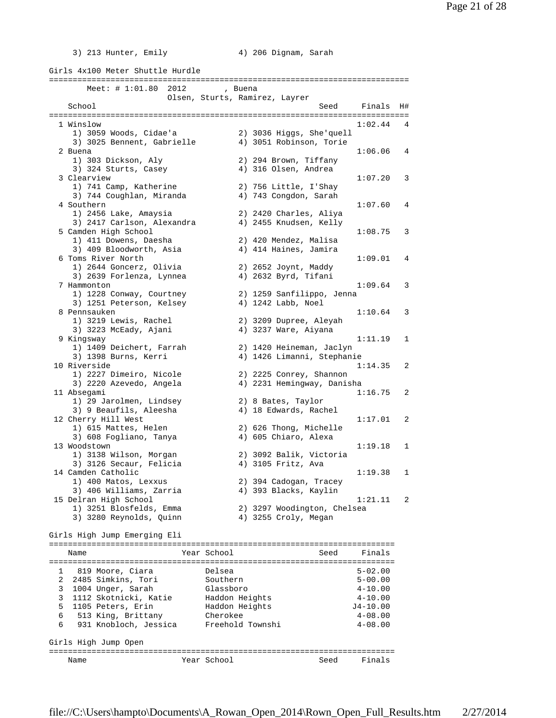- 
- 3) 213 Hunter, Emily 4) 206 Dignam, Sarah

Girls 4x100 Meter Shuttle Hurdle ============================================================================ Meet: # 1:01.80 2012 , Buena Olsen, Sturts, Ramirez, Layrer School Seed Finals H# ============================================================================ 1 Winslow 1:02.44 4<br>1) 3059 Woods, Cidae'a 2) 3036 Higgs, She'quell 1) 3059 Woods, Cidae'a 2) 3036 Higgs, She'quell 3) 3025 Bennent, Gabrielle 4) 3051 Robinson, Torie 2 Buena 1:06.06 4 1) 303 Dickson, Aly 2) 294 Brown, Tiffany 3) 324 Sturts, Casey (4) 316 Olsen, Andrea 3 Clearview 1:07.20 3 1) 741 Camp, Katherine 2) 756 Little, I'Shay<br>3) 744 Coughlan, Miranda 4) 743 Congdon, Sarah 3) 744 Coughlan, Miranda<br>4) 744 Coughlan, Miranda 4 Southern 1:07.60 4<br>1) 2456 Lake, Amaysia 2) 2420 Charles, Aliya 1) 2456 Lake, Amaysia 2) 2420 Charles, Aliya 3) 2417 Carlson, Alexandra 4) 2455 Knudsen, Kelly 5 Camden High School 1:08.75 3 1) 411 Dowens, Daesha 2) 420 Mendez, Malisa 3) 409 Bloodworth, Asia (4) 414 Haines, Jamira 6 Toms River North 1:09.01 4 1) 2644 Goncerz, Olivia 2) 2652 Joynt, Maddy 3) 2639 Forlenza, Lynnea 4) 2632 Byrd, Tifani 7 Hammonton 1:09.64 3 1) 1228 Conway, Courtney 2) 1259 Sanfilippo, Jenna 3) 1251 Peterson, Kelsey 8 Pennsauken 1:10.64 3 2) 3209 Dupree, Aleyah 3) 3223 McEady, Ajani 4) 3237 Ware, Aiyana 9 Kingsway 1:11.19 1 1) 1409 Deichert, Farrah 2) 1420 Heineman, Jaclyn 3) 1398 Burns, Kerri 4) 1426 Limanni, Stephanie 10 Riverside 1:14.35 2 1) 2227 Dimeiro, Nicole 2) 2225 Conrey, Shannon 3) 2220 Azevedo, Angela 4) 2231 Hemingway, Danisha 11 Absegami 1:16.75 2 1) 29 Jarolmen, Lindsey 2) 8 Bates, Taylor 3) 9 Beaufils, Aleesha 4) 18 Edwards, Rachel 12 Cherry Hill West 1:17.01 2<br>1) 615 Mattes, Helen 2) 626 Thong, Michelle 1) 615 Mattes, Helen 3) 608 Fogliano, Tanya (4) 605 Chiaro, Alexa 13 Woodstown 1:19.18 1 1) 3138 Wilson, Morgan 2) 3092 Balik, Victoria 3) 3126 Secaur, Felicia 14 Camden Catholic 1:19.38 1<br>1 19.38 1 1 19.38 1 2) 394 Cadogan, Tracey 1) 400 Matos, Lexxus 2) 394 Cadogan, Tracey 3) 406 Williams, Zarria 4) 393 Blacks, Kaylin 15 Delran High School 1:21.11 2 1) 3251 Blosfelds, Emma 2) 3297 Woodington, Chelsea<br>3) 3280 Reynolds, Quinn 4) 3255 Croly, Megan 3) 3280 Reynolds, Quinn Girls High Jump Emerging Eli ========================================================================= Name The Year School Seed Finals ========================================================================= 1 819 Moore, Ciara Delsea 5-02.00 2 2485 Simkins, Tori Southern 5-00.00 3 1004 Unger, Sarah Glassboro 4-10.00 3 1112 Skotnicki, Katie Haddon Heights 4-10.00 5 1105 Peters, Erin Haddon Heights J4-10.00 6 513 King, Brittany Cherokee 4-08.00 6 931 Knobloch, Jessica Freehold Townshi 4-08.00 Girls High Jump Open ========================================================================= Name The Year School Seed Finals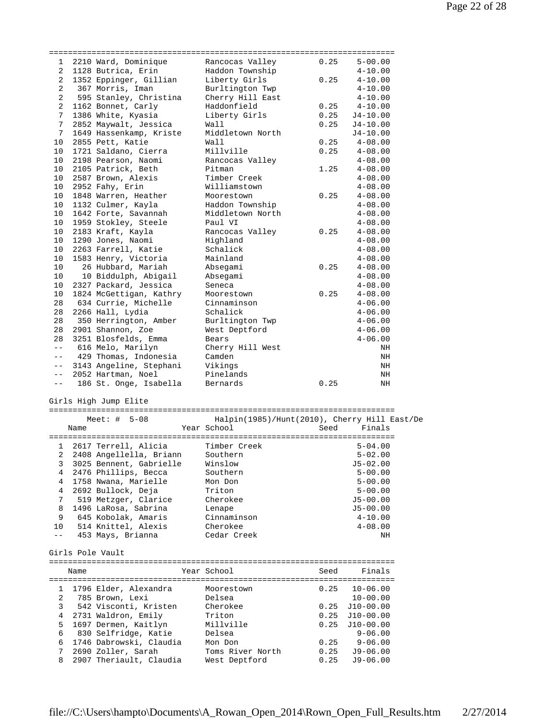| $\mathbf{1}$   |      | 2210 Ward, Dominique               | Rancocas Valley                              | 0.25 | $5 - 00.00$  |
|----------------|------|------------------------------------|----------------------------------------------|------|--------------|
| 2              |      | 1128 Butrica, Erin                 | Haddon Township                              |      | $4 - 10.00$  |
| 2              |      | 1352 Eppinger, Gillian             | Liberty Girls                                | 0.25 | $4 - 10.00$  |
| 2              |      | 367 Morris, Iman                   | Burltington Twp                              |      | $4 - 10.00$  |
| $\overline{a}$ |      | 595 Stanley, Christina             | Cherry Hill East                             |      | $4 - 10.00$  |
| 2              |      | 1162 Bonnet, Carly                 | Haddonfield                                  | 0.25 | $4 - 10.00$  |
| 7              |      | 1386 White, Kyasia                 | Liberty Girls                                | 0.25 | $J4-10.00$   |
| 7              |      | 2852 Maywalt, Jessica              | Wall                                         | 0.25 |              |
|                |      |                                    |                                              |      | $J4-10.00$   |
| 7              |      | 1649 Hassenkamp, Kriste            | Middletown North                             |      | $J4 - 10.00$ |
| 10             |      | 2855 Pett, Katie                   | Wall                                         | 0.25 | $4 - 08.00$  |
| 10             |      | 1721 Saldano, Cierra               | Millville                                    | 0.25 | $4 - 08.00$  |
| 10             |      | 2198 Pearson, Naomi                | Rancocas Valley                              |      | $4 - 08.00$  |
| 10             |      | 2105 Patrick, Beth                 | Pitman                                       | 1.25 | $4 - 08.00$  |
| 10             |      | 2587 Brown, Alexis                 | Timber Creek                                 |      | $4 - 08.00$  |
| 10             |      | 2952 Fahy, Erin                    | Williamstown                                 |      | $4 - 08.00$  |
| 10             |      | 1848 Warren, Heather               | Moorestown                                   | 0.25 | $4 - 08.00$  |
| 10             |      | 1132 Culmer, Kayla                 | Haddon Township                              |      | $4 - 08.00$  |
| 10             |      | 1642 Forte, Savannah               | Middletown North                             |      | $4 - 08.00$  |
| 10             |      | 1959 Stokley, Steele               | Paul VI                                      |      | $4 - 08.00$  |
| 10             |      | 2183 Kraft, Kayla                  | Rancocas Valley                              | 0.25 | $4 - 08.00$  |
| 10             |      | 1290 Jones, Naomi                  | Highland                                     |      | $4 - 08.00$  |
|                |      |                                    |                                              |      |              |
| 10             |      | 2263 Farrell, Katie                | Schalick                                     |      | $4 - 08.00$  |
| 10             |      | 1583 Henry, Victoria               | Mainland                                     |      | $4 - 08.00$  |
| 10             |      | 26 Hubbard, Mariah                 | Absegami                                     | 0.25 | $4 - 08.00$  |
| 10             |      | 10 Biddulph, Abigail               | Absegami                                     |      | $4 - 08.00$  |
| 10             |      | 2327 Packard, Jessica              | Seneca                                       |      | $4 - 08.00$  |
| 10             |      | 1824 McGettigan, Kathry            | Moorestown                                   | 0.25 | $4 - 08.00$  |
| 28             |      | 634 Currie, Michelle               | Cinnaminson                                  |      | $4 - 06.00$  |
| 28             |      | 2266 Hall, Lydia                   | Schalick                                     |      | $4 - 06.00$  |
| 28             |      | 350 Herrington, Amber              | Burltington Twp                              |      | $4 - 06.00$  |
| 28             |      | 2901 Shannon, Zoe                  | West Deptford                                |      | $4 - 06.00$  |
| 28             |      | 3251 Blosfelds, Emma               | Bears                                        |      | $4 - 06.00$  |
| $- -$          |      | 616 Melo, Marilyn                  | Cherry Hill West                             |      | ΝH           |
|                |      |                                    |                                              |      |              |
| $---$          |      | 429 Thomas, Indonesia              | Camden                                       |      | ΝH           |
| $--$           |      | 3143 Angeline, Stephani            | Vikings                                      |      | ΝH           |
| $  \,$         |      | 2052 Hartman, Noel                 | Pinelands                                    |      | ΝH           |
| $- -$          |      | 186 St. Onge, Isabella             | Bernards                                     | 0.25 | ΝH           |
|                |      |                                    |                                              |      |              |
|                |      | Girls High Jump Elite              |                                              |      |              |
|                |      |                                    |                                              |      |              |
|                |      |                                    |                                              |      |              |
|                |      | Meet: $\#$ 5-08                    | Halpin(1985)/Hunt(2010), Cherry Hill East/De |      |              |
|                | Name |                                    | Year School                                  | Seed | Finals       |
|                |      |                                    |                                              |      |              |
|                |      | 2617 Terrell, Alicia               | Timber Creek                                 |      | $5 - 04.00$  |
|                |      | 2 2408 Angellella, Briann Southern |                                              |      | $5 - 02.00$  |
| 3              |      | 3025 Bennent, Gabrielle            | Winslow                                      |      | $J5 - 02.00$ |
| 4              |      |                                    | Southern                                     |      | $5 - 00.00$  |
|                |      | 2476 Phillips, Becca               |                                              |      |              |
| 4              |      | 1758 Nwana, Marielle               | Mon Don                                      |      | $5 - 00.00$  |
| 4              |      | 2692 Bullock, Deja                 | Triton                                       |      | $5 - 00.00$  |
| 7              |      | 519 Metzger, Clarice               | Cherokee                                     |      | $J5 - 00.00$ |
| 8              |      | 1496 LaRosa, Sabrina               | Lenape                                       |      | $J5 - 00.00$ |
| 9              |      | 645 Kobolak, Amaris                | Cinnaminson                                  |      | $4 - 10.00$  |
| 10             |      | 514 Knittel, Alexis                | Cherokee                                     |      | $4 - 08.00$  |
| $ -$           |      | 453 Mays, Brianna                  | Cedar Creek                                  |      | ΝH           |
|                |      |                                    |                                              |      |              |
|                |      | Girls Pole Vault                   |                                              |      |              |
|                |      |                                    |                                              |      |              |
|                | Name |                                    | Year School                                  | Seed | Finals       |
|                |      |                                    |                                              |      |              |
|                |      |                                    |                                              |      |              |
| 1              |      | 1796 Elder, Alexandra              | Moorestown                                   | 0.25 | $10 - 06.00$ |
| 2              |      | 785 Brown, Lexi                    | Delsea                                       |      | $10 - 00.00$ |
| 3              |      | 542 Visconti, Kristen              | Cherokee                                     | 0.25 | $J10-00.00$  |
| 4              |      | 2731 Waldron, Emily                | Triton                                       | 0.25 | J10-00.00    |
| 5              |      | 1697 Dermen, Kaitlyn               | Millville                                    | 0.25 | $J10-00.00$  |
| 6              |      | 830 Selfridge, Katie               | Delsea                                       |      | $9 - 06.00$  |
| 6              |      | 1746 Dabrowski, Claudia            | Mon Don                                      | 0.25 | $9 - 06.00$  |
| 7              |      | 2690 Zoller, Sarah                 | Toms River North                             | 0.25 | $J9-06.00$   |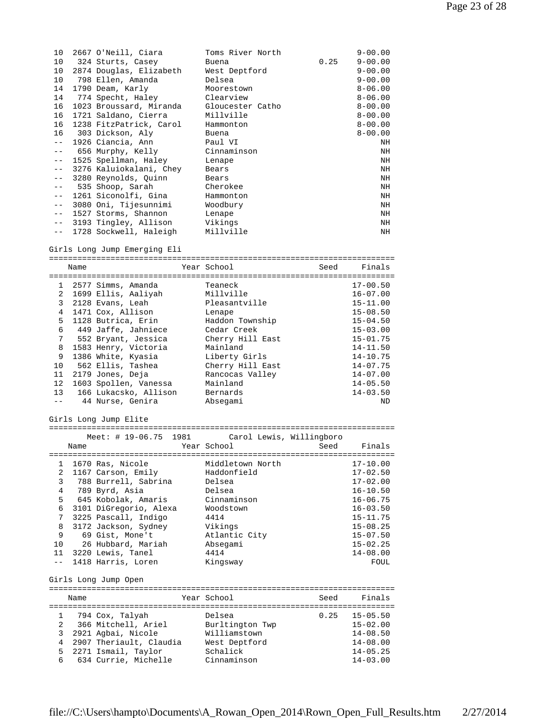| 10    | 2667 O'Neill, Ciara                   | Toms River North |      | $9 - 00.00$ |
|-------|---------------------------------------|------------------|------|-------------|
| 10    | 324 Sturts, Casey                     | Buena            | 0.25 | $9 - 00.00$ |
| 10    | 2874 Douglas, Elizabeth West Deptford |                  |      | $9 - 00.00$ |
| 10    | 798 Ellen, Amanda                     | Delsea           |      | $9 - 00.00$ |
| 14    | 1790 Deam, Karly                      | Moorestown       |      | $8 - 06.00$ |
| 14    | 774 Specht, Haley                     | Clearview        |      | $8 - 06.00$ |
| 16    | 1023 Broussard, Miranda               | Gloucester Catho |      | $8 - 00.00$ |
| 16    | 1721 Saldano, Cierra                  | Millville        |      | $8 - 00.00$ |
| 16    | 1238 FitzPatrick, Carol               | Hammonton        |      | $8 - 00.00$ |
| 16    | 303 Dickson, Aly                      | Buena            |      | $8 - 00.00$ |
| $ -$  | 1926 Ciancia, Ann                     | Paul VI          |      | ΝH          |
| $ -$  | 656 Murphy, Kelly                     | Cinnaminson      |      | ΝH          |
| $- -$ | 1525 Spellman, Haley                  | Lenape           |      | ΝH          |
| $ -$  | 3276 Kaluiokalani, Chey               | Bears            |      | ΝH          |
| $- -$ | 3280 Reynolds, Quinn                  | Bears            |      | ΝH          |
| $- -$ | 535 Shoop, Sarah                      | Cherokee         |      | NH          |
| $ -$  | 1261 Siconolfi, Gina                  | Hammonton        |      | NH          |
| $ -$  | 3080 Oni, Tijesunnimi                 | Woodbury         |      | NH          |
| $ -$  | 1527 Storms, Shannon                  | Lenape           |      | ΝH          |
| $ -$  | 3193 Tingley, Allison Vikings         |                  |      | NH          |
| $- -$ | 1728 Sockwell, Haleigh                | Millville        |      | NH          |

Girls Long Jump Emerging Eli

========================================================================= Name The Year School Seed Finals ========================================================================= 1 2577 Simms, Amanda Teaneck 17-00.50 2 1699 Ellis, Aaliyah Millville 16-07.00 3 2128 Evans, Leah Pleasantville 15-11.00 4 1471 Cox, Allison Lenape 15-08.50 5 1128 Butrica, Erin Haddon Township 15-04.50 6 449 Jaffe, Jahniece Cedar Creek 15-03.00 7 552 Bryant, Jessica Cherry Hill East 15-01.75 8 1583 Henry, Victoria 14-11.50 9 1386 White, Kyasia Liberty Girls 14-10.75 10 562 Ellis, Tashea Cherry Hill East 14-07.75 11 2179 Jones, Deja Rancocas Valley 14-07.00 12 1603 Spollen, Vanessa Mainland 14-05.50 13 166 Lukacsko, Allison Bernards 14-03.50 -- 44 Nurse, Genira Absegami ND

Girls Long Jump Elite

|              |      | Meet: # 19-06.75 1981 Carol Lewis, Willingboro |                  |                               |
|--------------|------|------------------------------------------------|------------------|-------------------------------|
|              | Name |                                                | Year School      | Seed Finals                   |
|              |      |                                                |                  |                               |
| 1            |      | 1670 Ras, Nicole                               | Middletown North | $17 - 10.00$                  |
| 2            |      | 1167 Carson, Emily                             | Haddonfield      | $17 - 02.50$                  |
| 3            |      | 788 Burrell, Sabrina                           | Delsea           | $17 - 02.00$                  |
| 4            |      | 789 Byrd, Asia                                 | Delsea           | $16 - 10.50$                  |
| 5            |      | 645 Kobolak, Amaris                            | Cinnaminson      | $16 - 06.75$                  |
| 6            |      | 3101 DiGregorio, Alexa                         | Woodstown        | $16 - 03.50$                  |
| 7            |      | 3225 Pascall, Indigo                           | 4414             | $15 - 11.75$                  |
| 8            |      | 3172 Jackson, Sydney                           | Vikings          | $15 - 08.25$                  |
| 9            |      | 69 Gist, Mone't                                | Atlantic City    | $15 - 07.50$                  |
| 10           |      | 26 Hubbard, Mariah                             | Absegami         | $15 - 02.25$                  |
|              |      | 11 3220 Lewis, Tanel                           | 4414             | $14 - 08.00$                  |
| $- -$        |      | 1418 Harris, Loren                             | Kingsway         | FOUL                          |
|              |      |                                                |                  |                               |
|              |      | Girls Long Jump Open                           |                  |                               |
|              |      | -------------------------------                |                  | ============================= |
|              | Name |                                                | Year School      | Finals<br>Seed                |
|              |      |                                                |                  |                               |
| $1 \quad$    |      | 794 Cox, Talyah                                | Delsea           | $0.25$ 15-05.50               |
| 2            |      | 366 Mitchell, Ariel                            | Burltington Twp  | $15 - 02.00$                  |
| $\mathbf{3}$ |      | 2921 Agbai, Nicole                             | Williamstown     | $14 - 08.50$                  |
| 4            |      | 2907 Theriault, Claudia West Deptford          |                  | $14 - 08.00$                  |
| 5            |      | 2271 Ismail, Taylor                            | Schalick         | $14 - 05.25$                  |
| 6            |      | 634 Currie, Michelle                           | Cinnaminson      | $14 - 03.00$                  |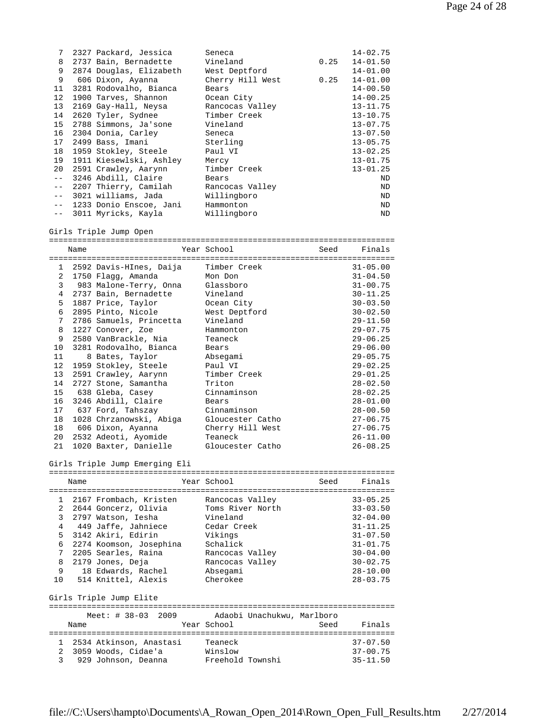| 7     | 2327 Packard, Jessica   | Seneca           |      | $14 - 02.75$ |
|-------|-------------------------|------------------|------|--------------|
| 8     | 2737 Bain, Bernadette   | Vineland         | 0.25 | $14 - 01.50$ |
| 9     | 2874 Douglas, Elizabeth | West Deptford    |      | $14 - 01.00$ |
| 9     | 606 Dixon, Ayanna       | Cherry Hill West | 0.25 | $14 - 01.00$ |
| 11    | 3281 Rodovalho, Bianca  | Bears            |      | $14 - 00.50$ |
| 12    | 1900 Tarves, Shannon    | Ocean City       |      | $14 - 00.25$ |
| 13    | 2169 Gay-Hall, Neysa    | Rancocas Valley  |      | $13 - 11.75$ |
| 14    | 2620 Tyler, Sydnee      | Timber Creek     |      | $13 - 10.75$ |
| 15    | 2788 Simmons, Ja'sone   | Vineland         |      | $13 - 07.75$ |
| 16    | 2304 Donia, Carley      | Seneca           |      | $13 - 07.50$ |
| 17    | 2499 Bass, Imani        | Sterling         |      | $13 - 05.75$ |
| 18    | 1959 Stokley, Steele    | Paul VI          |      | $13 - 02.25$ |
| 19    | 1911 Kiesewlski, Ashley | Mercy            |      | $13 - 01.75$ |
| 20    | 2591 Crawley, Aarynn    | Timber Creek     |      | $13 - 01.25$ |
| $- -$ | 3246 Abdill, Claire     | Bears            |      | ND           |
| $- -$ | 2207 Thierry, Camilah   | Rancocas Valley  |      | ND           |
| $- -$ | 3021 williams, Jada     | Willingboro      |      | ND           |
| $- -$ | 1233 Donio Enscoe, Jani | Hammonton        |      | ND           |
| $- -$ | 3011 Myricks, Kayla     | Willingboro      |      | ND           |

Girls Triple Jump Open

|    | Name |                                  | Year School      | Seed | Finals       |  |
|----|------|----------------------------------|------------------|------|--------------|--|
|    |      |                                  |                  |      |              |  |
|    |      | 1 2592 Davis-HInes, Daija        | Timber Creek     |      | $31 - 05.00$ |  |
| 2  |      | 1750 Flagg, Amanda               | Mon Don          |      | $31 - 04.50$ |  |
| 3  |      | 983 Malone-Terry, Onna Glassboro |                  |      | $31 - 00.75$ |  |
| 4  |      | 2737 Bain, Bernadette            | Vineland         |      | $30 - 11.25$ |  |
| 5  |      | 1887 Price, Taylor               | Ocean City       |      | $30 - 03.50$ |  |
| 6  |      | 2895 Pinto, Nicole               | West Deptford    |      | $30 - 02.50$ |  |
| 7  |      | 2786 Samuels, Princetta          | Vineland         |      | $29 - 11.50$ |  |
| 8  |      | 1227 Conover, Zoe                | Hammonton        |      | $29 - 07.75$ |  |
| 9  |      | 2580 VanBrackle, Nia             | Teaneck          |      | $29 - 06.25$ |  |
|    |      | 10 3281 Rodovalho, Bianca        | Bears            |      | $29 - 06.00$ |  |
| 11 |      | 8 Bates, Taylor                  | Absegami         |      | $29 - 05.75$ |  |
| 12 |      | 1959 Stokley, Steele             | Paul VI          |      | $29 - 02.25$ |  |
| 13 |      | 2591 Crawley, Aarynn             | Timber Creek     |      | $29 - 01.25$ |  |
| 14 |      | 2727 Stone, Samantha             | Triton           |      | $28 - 02.50$ |  |
| 15 |      | 638 Gleba, Casey                 | Cinnaminson      |      | $28 - 02.25$ |  |
| 16 |      | 3246 Abdill, Claire              | Bears            |      | $28 - 01.00$ |  |
| 17 |      | 637 Ford, Tahszay                | Cinnaminson      |      | $28 - 00.50$ |  |
| 18 |      | 1028 Chrzanowski, Abiga          | Gloucester Catho |      | $27 - 06.75$ |  |
| 18 |      | 606 Dixon, Ayanna                | Cherry Hill West |      | $27 - 06.75$ |  |
|    |      | 20 2532 Adeoti, Ayomide          | Teaneck          |      | $26 - 11.00$ |  |
| 21 |      | 1020 Baxter, Danielle            | Gloucester Catho |      | $26 - 08.25$ |  |

Girls Triple Jump Emerging Eli

|                | Name |                                               |  | Year School      |  | Seed | Finals       |
|----------------|------|-----------------------------------------------|--|------------------|--|------|--------------|
|                |      |                                               |  |                  |  |      |              |
| $\mathbf{1}$   |      | 2167 Frombach, Kristen                        |  | Rancocas Valley  |  |      | $33 - 05.25$ |
| 2              |      | 2644 Goncerz, Olivia                          |  | Toms River North |  |      | $33 - 03.50$ |
| 3              |      | 2797 Watson, Iesha                            |  | Vineland         |  |      | $32 - 04.00$ |
| $\overline{4}$ |      | 449 Jaffe, Jahniece                           |  | Cedar Creek      |  |      | $31 - 11.25$ |
| 5.             |      | 3142 Akiri, Edirin                            |  | Vikings          |  |      | $31 - 07.50$ |
| 6              |      | 2274 Koomson, Josephina                       |  | Schalick         |  |      | $31 - 01.75$ |
| 7              |      | 2205 Searles, Raina                           |  | Rancocas Valley  |  |      | $30 - 04.00$ |
| 8              |      | 2179 Jones, Deja                              |  | Rancocas Valley  |  |      | $30 - 02.75$ |
| 9              |      | 18 Edwards, Rachel                            |  | Absegami         |  |      | $28 - 10.00$ |
| 10             |      | 514 Knittel, Alexis                           |  | Cherokee         |  |      | $28 - 03.75$ |
|                |      |                                               |  |                  |  |      |              |
|                |      | Girls Triple Jump Elite                       |  |                  |  |      |              |
|                |      |                                               |  |                  |  |      |              |
|                |      | Meet: # 38-03 2009 Adaobi Unachukwu, Marlboro |  |                  |  |      |              |
|                | Name |                                               |  | Year School      |  | Seed | Finals       |
|                |      |                                               |  |                  |  |      |              |
|                |      | 1 2534 Atkinson, Anastasi                     |  | Teaneck          |  |      | $37 - 07.50$ |
| $2^{\circ}$    |      | 3059 Woods, Cidae'a                           |  | Winslow          |  |      | $37 - 00.75$ |
| $\mathbf{3}$   |      | 929 Johnson, Deanna Freehold Townshi          |  |                  |  |      | $35 - 11.50$ |
|                |      |                                               |  |                  |  |      |              |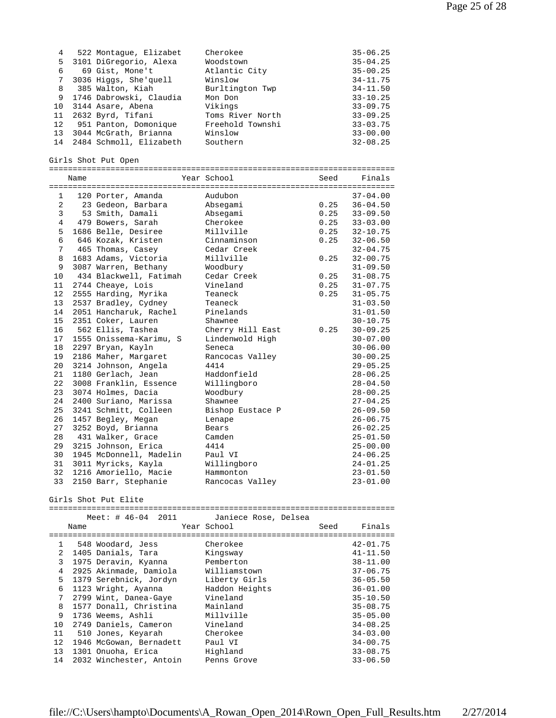| 4  | 522 Montaque, Elizabet     | Cherokee         | $35 - 06.25$ |
|----|----------------------------|------------------|--------------|
|    | 5 3101 DiGregorio, Alexa   | Woodstown        | $35 - 04.25$ |
| 6  | 69 Gist, Mone't            | Atlantic City    | $35 - 00.25$ |
| 7  | 3036 Higgs, She'quell      | Winslow          | $34 - 11.75$ |
| 8  | 385 Walton, Kiah           | Burltington Twp  | $34 - 11.50$ |
| 9  | 1746 Dabrowski, Claudia    | Mon Don          | $33 - 10.25$ |
| 10 | 3144 Asare, Abena          | Vikings          | $33 - 09.75$ |
| 11 | 2632 Byrd, Tifani          | Toms River North | $33 - 09.25$ |
| 12 | 951 Panton, Domonique      | Freehold Townshi | $33 - 03.75$ |
| 13 | 3044 McGrath, Brianna      | Winslow          | $33 - 00.00$ |
|    | 14 2484 Schmoll, Elizabeth | Southern         | $32 - 08.25$ |

Girls Shot Put Open

|                | Name |                         | Year School      |      | Seed Finals       |  |  |
|----------------|------|-------------------------|------------------|------|-------------------|--|--|
|                |      |                         |                  |      |                   |  |  |
| 1              |      | 120 Porter, Amanda      | Audubon          |      | $37 - 04.00$      |  |  |
| 2              |      | 23 Gedeon, Barbara      | Absegami         | 0.25 | $36 - 04.50$      |  |  |
| 3              |      | 53 Smith, Damali        | Absegami         | 0.25 | $33 - 09.50$      |  |  |
| $\overline{4}$ |      | 479 Bowers, Sarah       | Cherokee         | 0.25 | $33 - 03.00$      |  |  |
| 5              |      | 1686 Belle, Desiree     | Millville        |      | $0.25$ $32-10.75$ |  |  |
| 6              |      | 646 Kozak, Kristen      | Cinnaminson      | 0.25 | $32 - 06.50$      |  |  |
| 7              |      | 465 Thomas, Casey       | Cedar Creek      |      | $32 - 04.75$      |  |  |
| 8              |      | 1683 Adams, Victoria    | Millville        | 0.25 | $32 - 00.75$      |  |  |
| 9              |      | 3087 Warren, Bethany    | Woodbury         |      | $31 - 09.50$      |  |  |
| 10             |      | 434 Blackwell, Fatimah  | Cedar Creek      | 0.25 | $31 - 08.75$      |  |  |
| 11             |      | 2744 Cheaye, Lois       | Vineland         |      | $0.25$ $31-07.75$ |  |  |
| 12             |      | 2555 Harding, Myrika    | Teaneck          | 0.25 | $31 - 05.75$      |  |  |
| 13             |      | 2537 Bradley, Cydney    | Teaneck          |      | $31 - 03.50$      |  |  |
| 14             |      | 2051 Hancharuk, Rachel  | Pinelands        |      | $31 - 01.50$      |  |  |
| 15             |      | 2351 Coker, Lauren      | Shawnee          |      | $30 - 10.75$      |  |  |
| 16             |      | 562 Ellis, Tashea       | Cherry Hill East | 0.25 | $30 - 09.25$      |  |  |
| 17             |      | 1555 Onissema-Karimu, S | Lindenwold High  |      | $30 - 07.00$      |  |  |
| 18             |      | 2297 Bryan, Kayln       | Seneca           |      | $30 - 06.00$      |  |  |
| 19             |      | 2186 Maher, Margaret    | Rancocas Valley  |      | $30 - 00.25$      |  |  |
| 20             |      | 3214 Johnson, Angela    | 4414             |      | $29 - 05.25$      |  |  |
| 21             |      | 1180 Gerlach, Jean      | Haddonfield      |      | $28 - 06.25$      |  |  |
| 22             |      | 3008 Franklin, Essence  | Willingboro      |      | $28 - 04.50$      |  |  |
| 23             |      | 3074 Holmes, Dacia      | Woodbury         |      | $28 - 00.25$      |  |  |
| 24             |      | 2400 Suriano, Marissa   | Shawnee          |      | $27 - 04.25$      |  |  |
| 25             |      | 3241 Schmitt, Colleen   | Bishop Eustace P |      | $26 - 09.50$      |  |  |
| 26             |      | 1457 Begley, Megan      | Lenape           |      | $26 - 06.75$      |  |  |
| 27             |      | 3252 Boyd, Brianna      | Bears            |      | $26 - 02.25$      |  |  |
| 28             |      | 431 Walker, Grace       | Camden           |      | $25 - 01.50$      |  |  |
| 29             |      | 3215 Johnson, Erica     | 4414             |      | $25 - 00.00$      |  |  |
| 30             |      | 1945 McDonnell, Madelin | Paul VI          |      | $24 - 06.25$      |  |  |
| 31             |      | 3011 Myricks, Kayla     | Willingboro      |      | $24 - 01.25$      |  |  |
| 32             |      | 1216 Amoriello, Macie   | Hammonton        |      | $23 - 01.50$      |  |  |
| 33             |      | 2150 Barr, Stephanie    | Rancocas Valley  |      | $23 - 01.00$      |  |  |
|                |      |                         |                  |      |                   |  |  |

Girls Shot Put Elite

=========================================================================

|                | Meet: # 46-04 2011      | Janiece Rose, Delsea |                |
|----------------|-------------------------|----------------------|----------------|
|                | Name                    | Year School          | Finals<br>Seed |
|                |                         |                      |                |
| $\mathbf{1}$   | 548 Woodard, Jess       | Cherokee             | $42 - 01.75$   |
| $\overline{2}$ | 1405 Danials, Tara      | Kingsway             | $41 - 11.50$   |
| 3              | 1975 Deravin, Kyanna    | Pemberton            | $38 - 11.00$   |
| 4              | 2925 Akinmade, Damiola  | Williamstown         | $37 - 06.75$   |
| 5              | 1379 Serebnick, Jordyn  | Liberty Girls        | $36 - 05.50$   |
| 6              | 1123 Wright, Ayanna     | Haddon Heights       | $36 - 01.00$   |
| 7              | 2799 Wint, Danea-Gaye   | Vineland             | $35 - 10.50$   |
| 8              | 1577 Donall, Christina  | Mainland             | $35 - 08.75$   |
| 9              | 1736 Weems, Ashli       | Millville            | $35 - 05.00$   |
| 10             | 2749 Daniels, Cameron   | Vineland             | $34 - 08.25$   |
| 11             | 510 Jones, Keyarah      | Cherokee             | $34 - 03.00$   |
| 12             | 1946 McGowan, Bernadett | Paul VI              | $34 - 00.75$   |
| 13             | 1301 Onuoha, Erica      | Highland             | $33 - 08.75$   |
| 14             | 2032 Winchester, Antoin | Penns Grove          | $33 - 06.50$   |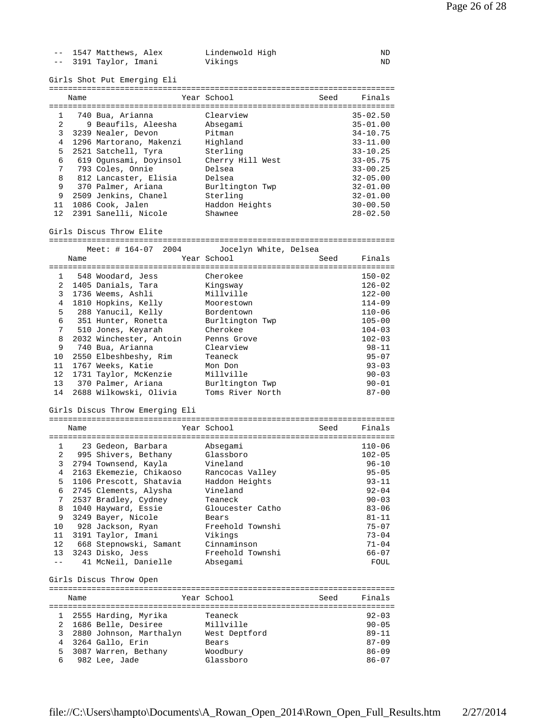|           |                                | -- 1547 Matthews, Alex<br>-- 3191 Taylor, Imani | Lindenwold High<br>Vikings |      | ND<br>ND     |
|-----------|--------------------------------|-------------------------------------------------|----------------------------|------|--------------|
|           |                                | Girls Shot Put Emerging Eli                     |                            |      |              |
|           | Name                           |                                                 | Year School                | Seed | Finals       |
| $1 \quad$ |                                | 740 Bua, Arianna                                | Clearview                  |      | $35 - 02.50$ |
|           | $2 \left( \frac{1}{2} \right)$ | 9 Beaufils, Aleesha                             | Absegami                   |      | $35 - 01.00$ |
| 3         |                                | 3239 Nealer, Devon                              | Pitman                     |      | $34 - 10.75$ |
|           |                                | 4 1296 Martorano, Makenzi                       | Highland                   |      | $33 - 11.00$ |
| 5         |                                | 2521 Satchell, Tyra                             | Sterling                   |      | $33 - 10.25$ |
| 6         |                                | 619 Ogunsami, Doyinsol                          | Cherry Hill West           |      | $33 - 05.75$ |
| 7         |                                | 793 Coles, Onnie                                | Delsea                     |      | $33 - 00.25$ |
| 8         |                                | 812 Lancaster, Elisia                           | Delsea                     |      | $32 - 05.00$ |
| 9         |                                | 370 Palmer, Ariana                              | Burltington Twp            |      | $32 - 01.00$ |
|           |                                | 9 2509 Jenkins, Chanel                          | Sterling                   |      | $32 - 01.00$ |
|           |                                | 11 1086 Cook, Jalen                             | Haddon Heights             |      | $30 - 00.50$ |
| 12        |                                | 2391 Sanelli, Nicole                            | Shawnee                    |      | $28 - 02.50$ |
|           |                                | Girls Discus Throw Elite                        |                            |      |              |
|           |                                |                                                 |                            |      |              |
|           | Name                           | Meet: # 164-07 2004                             | Jocelyn White, Delsea      |      |              |
|           |                                |                                                 | Year School                | Seed | Finals       |
|           |                                | 1 548 Woodard, Jess                             | Cherokee                   |      | $150 - 02$   |
|           |                                | 2 1405 Danials, Tara                            | Kingsway                   |      | $126 - 02$   |
|           |                                | 3 1736 Weems, Ashli                             | Millville                  |      | $122 - 00$   |
|           |                                | 4 1810 Hopkins, Kelly                           | Moorestown                 |      | $114 - 09$   |
| 5         |                                | 288 Yanucil, Kelly                              | Bordentown                 |      | $110 - 06$   |
| 6         |                                | 351 Hunter, Ronetta                             | Burltington Twp            |      | $105 - 00$   |
| 7         |                                | 510 Jones, Keyarah                              | Cherokee                   |      | $104 - 03$   |
| 8         |                                | 2032 Winchester, Antoin                         | Penns Grove                |      | $102 - 03$   |
| 9         |                                | 740 Bua, Arianna                                | Clearview                  |      | $98 - 11$    |
| 10        |                                | 2550 Elbeshbeshy, Rim                           | Teaneck                    |      | $95 - 07$    |
| 11        |                                | 1767 Weeks, Katie                               | Mon Don                    |      | $93 - 03$    |
| 12        |                                | 1731 Taylor, McKenzie                           | Millville                  |      | $90 - 03$    |
| 13        |                                | 370 Palmer, Ariana                              | Burltington Twp            |      | $90 - 01$    |
| 14        |                                | 2688 Wilkowski, Olivia                          | Toms River North           |      | $87 - 00$    |
|           |                                | Girls Discus Throw Emerging Eli                 |                            |      |              |
|           |                                |                                                 |                            |      |              |
|           | Name                           |                                                 | Year School                | Seed | Finals       |
|           |                                | 1 23 Gedeon, Barbara MacAbsegami                |                            |      | 110-06       |
|           |                                | 2 995 Shivers, Bethany                          | Glassboro                  |      | $102 - 05$   |
| 3         |                                | 2794 Townsend, Kayla                            | Vineland                   |      | 96-10        |
| 4         |                                | 2163 Ekemezie, Chikaoso                         | Rancocas Valley            |      | $95 - 05$    |
| 5         |                                | 1106 Prescott, Shatavia                         | Haddon Heights             |      | $93 - 11$    |
| 6         |                                | 2745 Clements, Alysha                           | Vineland                   |      | $92 - 04$    |
| 7         |                                | 2537 Bradley, Cydney                            | Teaneck                    |      | $90 - 03$    |
| 8         |                                | 1040 Hayward, Essie                             | Gloucester Catho           |      | $83 - 06$    |
| 9         |                                | 3249 Bayer, Nicole                              | Bears                      |      | $81 - 11$    |
| 10        |                                | 928 Jackson, Ryan                               | Freehold Townshi           |      | $75 - 07$    |
| 11        |                                | 3191 Taylor, Imani                              | Vikings                    |      | $73 - 04$    |
| 12        |                                | 668 Stepnowski, Samant                          | Cinnaminson                |      | $71 - 04$    |
| 13        |                                | 3243 Disko, Jess                                | Freehold Townshi           |      | 66-07        |
| $ -$      |                                | 41 McNeil, Danielle                             | Absegami                   |      | FOUL         |
|           |                                | Girls Discus Throw Open                         |                            |      |              |
|           | Name                           |                                                 | Year School                | Seed | Finals       |
|           |                                |                                                 |                            |      |              |
| 1         |                                | 2555 Harding, Myrika                            | Teaneck                    |      | $92 - 03$    |
|           |                                | 2 1686 Belle, Desiree                           | Millville                  |      | $90 - 05$    |
| 3         |                                | 2880 Johnson, Marthalyn                         | West Deptford              |      | 89-11        |
| 4         |                                | 3264 Gallo, Erin                                | Bears                      |      | 87-09        |
| 5         |                                | 3087 Warren, Bethany                            | Woodbury                   |      | $86 - 09$    |
| 6         |                                | 982 Lee, Jade                                   | Glassboro                  |      | $86 - 07$    |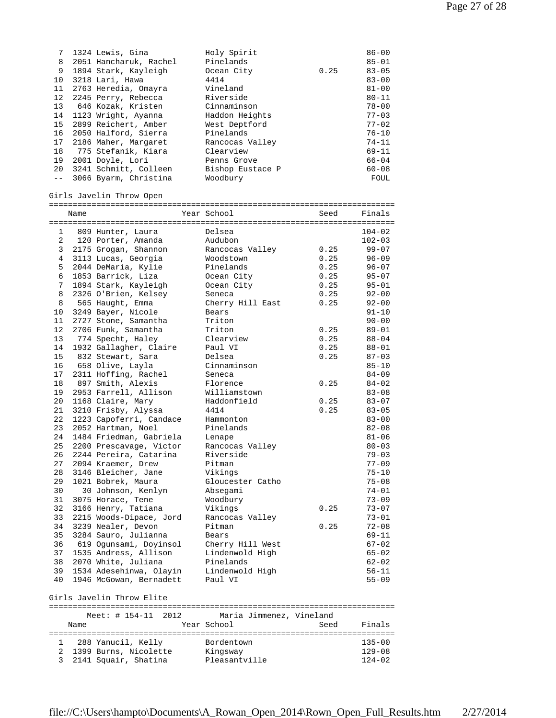| 7     | 1324 Lewis, Gina       | Holy Spirit      |      | $86 - 00$ |
|-------|------------------------|------------------|------|-----------|
| 8     | 2051 Hancharuk, Rachel | Pinelands        |      | $85 - 01$ |
| 9     | 1894 Stark, Kayleigh   | Ocean City       | 0.25 | $83 - 05$ |
| 10    | 3218 Lari, Hawa        | 4414             |      | $83 - 00$ |
| 11    | 2763 Heredia, Omayra   | Vineland         |      | $81 - 00$ |
| 12    | 2245 Perry, Rebecca    | Riverside        |      | $80 - 11$ |
| 13    | 646 Kozak, Kristen     | Cinnaminson      |      | $78 - 00$ |
|       | 14 1123 Wright, Ayanna | Haddon Heights   |      | $77 - 03$ |
| 15    | 2899 Reichert, Amber   | West Deptford    |      | $77 - 02$ |
| 16    | 2050 Halford, Sierra   | Pinelands        |      | $76 - 10$ |
| 17    | 2186 Maher, Margaret   | Rancocas Valley  |      | $74 - 11$ |
| 18    | 775 Stefanik, Kiara    | Clearview        |      | $69 - 11$ |
| 19    | 2001 Doyle, Lori       | Penns Grove      |      | $66 - 04$ |
| 20    | 3241 Schmitt, Colleen  | Bishop Eustace P |      | $60 - 08$ |
| $- -$ | 3066 Byarm, Christina  | Woodbury         |      | FOUL      |

Girls Javelin Throw Open

=========================================================================

|                | Name |                                            | Year School               | Seed | Finals                 |
|----------------|------|--------------------------------------------|---------------------------|------|------------------------|
|                |      |                                            |                           |      |                        |
| $\mathbf{1}$   |      | 809 Hunter, Laura                          | Delsea                    |      | $104 - 02$             |
| $\overline{2}$ |      | 120 Porter, Amanda                         | Audubon                   |      | $102 - 03$             |
| 3              |      | 2175 Grogan, Shannon                       | Rancocas Valley           | 0.25 | $99 - 07$              |
| $\overline{4}$ |      | 3113 Lucas, Georgia                        | Woodstown                 | 0.25 | $96 - 09$              |
| 5              |      | 2044 DeMaria, Kylie                        | Pinelands                 | 0.25 | $96 - 07$              |
| 6              |      | 1853 Barrick, Liza                         | Ocean City                | 0.25 | $95 - 07$              |
| 7              |      | 1894 Stark, Kayleigh                       | Ocean City                | 0.25 | $95 - 01$              |
| 8              |      | 2326 O'Brien, Kelsey                       | Seneca                    | 0.25 | $92 - 00$              |
| 8              |      | 565 Haught, Emma                           | Cherry Hill East          | 0.25 | $92 - 00$              |
| 10             |      | 3249 Bayer, Nicole                         | Bears                     |      | $91 - 10$              |
| 11             |      | 2727 Stone, Samantha                       | Triton                    |      | $90 - 00$              |
| 12             |      | 2706 Funk, Samantha                        | Triton                    | 0.25 | $89 - 01$              |
| 13             |      | 774 Specht, Haley                          | Clearview                 | 0.25 | $88 - 04$              |
| 14             |      | 1932 Gallagher, Claire                     | Paul VI                   | 0.25 | $88 - 01$              |
| 15             |      | 832 Stewart, Sara                          | Delsea                    | 0.25 | $87 - 03$              |
| 16             |      | 658 Olive, Layla                           | Cinnaminson               |      | $85 - 10$              |
| 17             |      | 2311 Hoffing, Rachel                       | Seneca                    |      | $84 - 09$              |
| 18             |      | 897 Smith, Alexis                          | Florence                  | 0.25 | $84 - 02$              |
| 19             |      | 2953 Farrell, Allison                      | Williamstown              |      | $83 - 08$              |
| 20             |      | 1168 Claire, Mary                          | Haddonfield               | 0.25 | $83 - 07$              |
| 21             |      | 3210 Frisby, Alyssa                        | 4414                      | 0.25 | $83 - 05$              |
| 22             |      | 1223 Capoferri, Candace                    | Hammonton                 |      | $83 - 00$              |
| 23             |      | 2052 Hartman, Noel                         | Pinelands                 |      | $82 - 08$              |
| 24             |      | 1484 Friedman, Gabriela                    | Lenape                    |      | $81 - 06$              |
| 25             |      | 2200 Prescavage, Victor                    | Rancocas Valley           |      | $80 - 03$              |
| 26             |      | 2244 Pereira, Catarina                     | Riverside                 |      | $79 - 03$              |
| 27             |      | 2094 Kraemer, Drew                         | Pitman                    |      | $77 - 09$              |
| 28             |      | 3146 Bleicher, Jane                        | Vikings                   |      | $75 - 10$              |
| 29             |      | 1021 Bobrek, Maura                         | Gloucester Catho          |      | $75 - 08$              |
| 30             |      | 30 Johnson, Kenlyn                         | Absegami                  |      | $74 - 01$              |
| 31             |      | 3075 Horace, Tene                          | Woodbury                  |      | $73 - 09$              |
| 32             |      | 3166 Henry, Tatiana                        | Vikings                   | 0.25 | $73 - 07$              |
| 33             |      |                                            |                           |      |                        |
| 34             |      | 2215 Woods-Dipace, Jord                    | Rancocas Valley<br>Pitman | 0.25 | $73 - 01$<br>$72 - 08$ |
| 35             |      | 3239 Nealer, Devon<br>3284 Sauro, Julianna | Bears                     |      |                        |
| 36             |      |                                            |                           |      | $69 - 11$<br>$67 - 02$ |
| 37             |      | 619 Ogunsami, Doyinsol                     | Cherry Hill West          |      |                        |
|                |      | 1535 Andress, Allison                      | Lindenwold High           |      | $65 - 02$              |
| 38             |      | 2070 White, Juliana                        | Pinelands                 |      | $62 - 02$              |
| 39             |      | 1534 Adesehinwa, Olayin                    | Lindenwold High           |      | $56 - 11$              |
| 40             |      | 1946 McGowan, Bernadett                    | Paul VI                   |      | $55 - 09$              |
|                |      | Girls Javelin Throw Elite                  |                           |      |                        |
|                |      |                                            |                           |      |                        |
|                |      | Meet: $\#$ 154-11<br>2012                  | Maria Jimmenez, Vineland  |      |                        |
|                | Name |                                            | Year School               | Seed | Finals                 |
|                |      |                                            |                           |      |                        |
| $\mathbf{1}$   |      | 288 Yanucil, Kelly                         | Bordentown                |      | $135 - 00$             |
| 2              |      | 1399 Burns, Nicolette                      | Kingsway                  |      | $129 - 08$             |
| 3              |      | 2141 Squair, Shatina                       | Pleasantville             |      | $124 - 02$             |